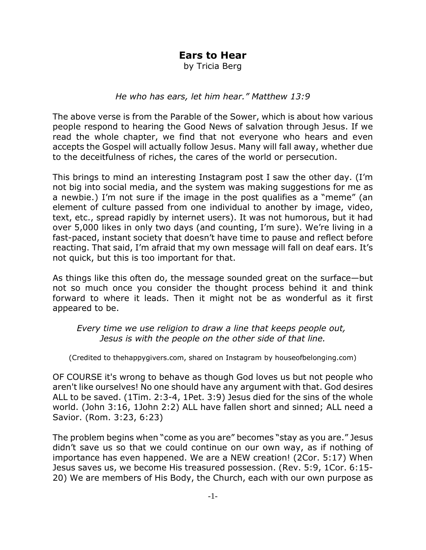## **Ears to Hear**

by Tricia Berg

## *He who has ears, let him hear." Matthew 13:9*

The above verse is from the Parable of the Sower, which is about how various people respond to hearing the Good News of salvation through Jesus. If we read the whole chapter, we find that not everyone who hears and even accepts the Gospel will actually follow Jesus. Many will fall away, whether due to the deceitfulness of riches, the cares of the world or persecution.

This brings to mind an interesting Instagram post I saw the other day. (I'm not big into social media, and the system was making suggestions for me as a newbie.) I'm not sure if the image in the post qualifies as a "meme" (an element of culture passed from one individual to another by image, video, text, etc., spread rapidly by internet users). It was not humorous, but it had over 5,000 likes in only two days (and counting, I'm sure). We're living in a fast-paced, instant society that doesn't have time to pause and reflect before reacting. That said, I'm afraid that my own message will fall on deaf ears. It's not quick, but this is too important for that.

As things like this often do, the message sounded great on the surface—but not so much once you consider the thought process behind it and think forward to where it leads. Then it might not be as wonderful as it first appeared to be.

*Every time we use religion to draw a line that keeps people out, Jesus is with the people on the other side of that line.*

(Credited to thehappygivers.com, shared on Instagram by houseofbelonging.com)

OF COURSE it's wrong to behave as though God loves us but not people who aren't like ourselves! No one should have any argument with that. God desires ALL to be saved. (1Tim. 2:3-4, 1Pet. 3:9) Jesus died for the sins of the whole world. (John 3:16, 1John 2:2) ALL have fallen short and sinned; ALL need a Savior. (Rom. 3:23, 6:23)

The problem begins when "come as you are" becomes "stay as you are." Jesus didn't save us so that we could continue on our own way, as if nothing of importance has even happened. We are a NEW creation! (2Cor. 5:17) When Jesus saves us, we become His treasured possession. (Rev. 5:9, 1Cor. 6:15- 20) We are members of His Body, the Church, each with our own purpose as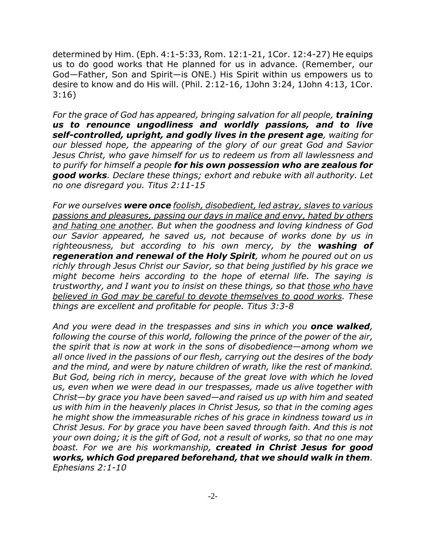determined by Him. (Eph. 4:1-5:33, Rom. 12:1-21, 1Cor. 12:4-27) He equips us to do good works that He planned for us in advance. (Remember, our God—Father, Son and Spirit—is ONE.) His Spirit within us empowers us to desire to know and do His will. (Phil. 2:12-16, 1John 3:24, 1John 4:13, 1Cor. 3:16)

*For the grace of God has appeared, bringing salvation for all people, training us to renounce ungodliness and worldly passions, and to live self-controlled, upright, and godly lives in the present age, waiting for our blessed hope, the appearing of the glory of our great God and Savior Jesus Christ, who gave himself for us to redeem us from all lawlessness and to purify for himself a people for his own possession who are zealous for good works. Declare these things; exhort and rebuke with all authority. Let no one disregard you. Titus 2:11-15*

*For we ourselves were once foolish, disobedient, led astray, slaves to various passions and pleasures, passing our days in malice and envy, hated by others and hating one another. But when the goodness and loving kindness of God our Savior appeared, he saved us, not because of works done by us in righteousness, but according to his own mercy, by the washing of regeneration and renewal of the Holy Spirit, whom he poured out on us richly through Jesus Christ our Savior, so that being justified by his grace we might become heirs according to the hope of eternal life. The saying is trustworthy, and I want you to insist on these things, so that those who have believed in God may be careful to devote themselves to good works. These things are excellent and profitable for people. Titus 3:3-8*

*And you were dead in the trespasses and sins in which you once walked, following the course of this world, following the prince of the power of the air, the spirit that is now at work in the sons of disobedience—among whom we all once lived in the passions of our flesh, carrying out the desires of the body and the mind, and were by nature children of wrath, like the rest of mankind. But God, being rich in mercy, because of the great love with which he loved us, even when we were dead in our trespasses, made us alive together with Christ—by grace you have been saved—and raised us up with him and seated us with him in the heavenly places in Christ Jesus, so that in the coming ages he might show the immeasurable riches of his grace in kindness toward us in Christ Jesus. For by grace you have been saved through faith. And this is not your own doing; it is the gift of God, not a result of works, so that no one may boast. For we are his workmanship, created in Christ Jesus for good works, which God prepared beforehand, that we should walk in them. Ephesians 2:1-10*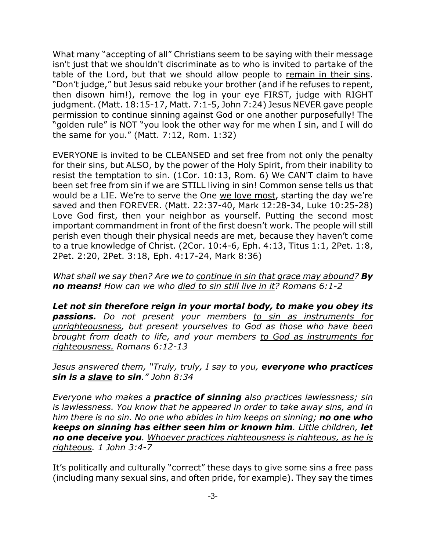What many "accepting of all" Christians seem to be saying with their message isn't just that we shouldn't discriminate as to who is invited to partake of the table of the Lord, but that we should allow people to remain in their sins. "Don't judge," but Jesus said rebuke your brother (and if he refuses to repent, then disown him!), remove the log in your eye FIRST, judge with RIGHT judgment. (Matt. 18:15-17, Matt. 7:1-5, John 7:24) Jesus NEVER gave people permission to continue sinning against God or one another purposefully! The "golden rule" is NOT "you look the other way for me when I sin, and I will do the same for you." (Matt. 7:12, Rom. 1:32)

EVERYONE is invited to be CLEANSED and set free from not only the penalty for their sins, but ALSO, by the power of the Holy Spirit, from their inability to resist the temptation to sin. (1Cor. 10:13, Rom. 6) We CAN'T claim to have been set free from sin if we are STILL living in sin! Common sense tells us that would be a LIE. We're to serve the One we love most, starting the day we're saved and then FOREVER. (Matt. 22:37-40, Mark 12:28-34, Luke 10:25-28) Love God first, then your neighbor as yourself. Putting the second most important commandment in front of the first doesn't work. The people will still perish even though their physical needs are met, because they haven't come to a true knowledge of Christ. (2Cor. 10:4-6, Eph. 4:13, Titus 1:1, 2Pet. 1:8, 2Pet. 2:20, 2Pet. 3:18, Eph. 4:17-24, Mark 8:36)

*What shall we say then? Are we to continue in sin that grace may abound? By no means! How can we who died to sin still live in it? Romans 6:1-2*

*Let not sin therefore reign in your mortal body, to make you obey its passions. Do not present your members to sin as instruments for unrighteousness, but present yourselves to God as those who have been brought from death to life, and your members to God as instruments for righteousness. Romans 6:12-13*

*Jesus answered them, "Truly, truly, I say to you, everyone who practices sin is a slave to sin." John 8:34*

*Everyone who makes a practice of sinning also practices lawlessness; sin is lawlessness. You know that he appeared in order to take away sins, and in him there is no sin. No one who abides in him keeps on sinning; no one who keeps on sinning has either seen him or known him. Little children, let no one deceive you. Whoever practices righteousness is righteous, as he is righteous. 1 John 3:4-7*

It's politically and culturally "correct" these days to give some sins a free pass (including many sexual sins, and often pride, for example). They say the times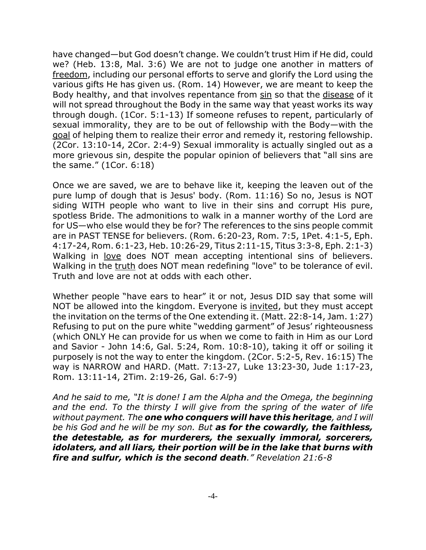have changed—but God doesn't change. We couldn't trust Him if He did, could we? (Heb. 13:8, Mal. 3:6) We are not to judge one another in matters of freedom, including our personal efforts to serve and glorify the Lord using the various gifts He has given us. (Rom. 14) However, we are meant to keep the Body healthy, and that involves repentance from sin so that the disease of it will not spread throughout the Body in the same way that yeast works its way through dough. (1Cor. 5:1-13) If someone refuses to repent, particularly of sexual immorality, they are to be out of fellowship with the Body—with the goal of helping them to realize their error and remedy it, restoring fellowship. (2Cor. 13:10-14, 2Cor. 2:4-9) Sexual immorality is actually singled out as a more grievous sin, despite the popular opinion of believers that "all sins are the same." (1Cor. 6:18)

Once we are saved, we are to behave like it, keeping the leaven out of the pure lump of dough that is Jesus' body. (Rom. 11:16) So no, Jesus is NOT siding WITH people who want to live in their sins and corrupt His pure, spotless Bride. The admonitions to walk in a manner worthy of the Lord are for US—who else would they be for? The references to the sins people commit are in PAST TENSE for believers. (Rom. 6:20-23, Rom. 7:5, 1Pet. 4:1-5, Eph. 4:17-24, Rom. 6:1-23, Heb. 10:26-29, Titus 2:11-15, Titus 3:3-8, Eph. 2:1-3) Walking in love does NOT mean accepting intentional sins of believers. Walking in the truth does NOT mean redefining "love" to be tolerance of evil. Truth and love are not at odds with each other.

Whether people "have ears to hear" it or not, Jesus DID say that some will NOT be allowed into the kingdom. Everyone is invited, but they must accept the invitation on the terms of the One extending it. (Matt. 22:8-14, Jam. 1:27) Refusing to put on the pure white "wedding garment" of Jesus' righteousness (which ONLY He can provide for us when we come to faith in Him as our Lord and Savior - John 14:6, Gal. 5:24, Rom. 10:8-10), taking it off or soiling it purposely is not the way to enter the kingdom. (2Cor. 5:2-5, Rev. 16:15) The way is NARROW and HARD. (Matt. 7:13-27, Luke 13:23-30, Jude 1:17-23, Rom. 13:11-14, 2Tim. 2:19-26, Gal. 6:7-9)

*And he said to me, "It is done! I am the Alpha and the Omega, the beginning and the end. To the thirsty I will give from the spring of the water of life without payment. The one who conquers will have this heritage, and I will be his God and he will be my son. But as for the cowardly, the faithless, the detestable, as for murderers, the sexually immoral, sorcerers, idolaters, and all liars, their portion will be in the lake that burns with fire and sulfur, which is the second death." Revelation 21:6-8*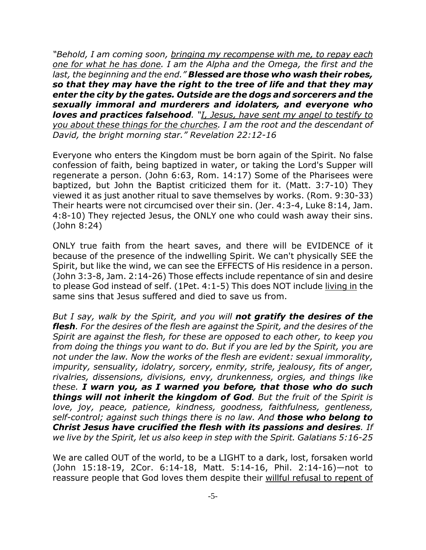*"Behold, I am coming soon, bringing my recompense with me, to repay each one for what he has done. I am the Alpha and the Omega, the first and the last, the beginning and the end." Blessed are those who wash their robes, so that they may have the right to the tree of life and that they may enter the city by the gates. Outside are the dogs and sorcerers and the sexually immoral and murderers and idolaters, and everyone who loves and practices falsehood. "I, Jesus, have sent my angel to testify to you about these things for the churches. I am the root and the descendant of David, the bright morning star." Revelation 22:12-16*

Everyone who enters the Kingdom must be born again of the Spirit. No false confession of faith, being baptized in water, or taking the Lord's Supper will regenerate a person. (John 6:63, Rom. 14:17) Some of the Pharisees were baptized, but John the Baptist criticized them for it. (Matt. 3:7-10) They viewed it as just another ritual to save themselves by works. (Rom. 9:30-33) Their hearts were not circumcised over their sin. (Jer. 4:3-4, Luke 8:14, Jam. 4:8-10) They rejected Jesus, the ONLY one who could wash away their sins. (John 8:24)

ONLY true faith from the heart saves, and there will be EVIDENCE of it because of the presence of the indwelling Spirit. We can't physically SEE the Spirit, but like the wind, we can see the EFFECTS of His residence in a person. (John 3:3-8, Jam. 2:14-26) Those effects include repentance of sin and desire to please God instead of self. (1Pet. 4:1-5) This does NOT include living in the same sins that Jesus suffered and died to save us from.

*But I say, walk by the Spirit, and you will not gratify the desires of the flesh. For the desires of the flesh are against the Spirit, and the desires of the Spirit are against the flesh, for these are opposed to each other, to keep you from doing the things you want to do. But if you are led by the Spirit, you are not under the law. Now the works of the flesh are evident: sexual immorality, impurity, sensuality, idolatry, sorcery, enmity, strife, jealousy, fits of anger, rivalries, dissensions, divisions, envy, drunkenness, orgies, and things like these. I warn you, as I warned you before, that those who do such things will not inherit the kingdom of God. But the fruit of the Spirit is love, joy, peace, patience, kindness, goodness, faithfulness, gentleness, self-control; against such things there is no law. And those who belong to Christ Jesus have crucified the flesh with its passions and desires. If we live by the Spirit, let us also keep in step with the Spirit. Galatians 5:16-25*

We are called OUT of the world, to be a LIGHT to a dark, lost, forsaken world (John 15:18-19, 2Cor. 6:14-18, Matt. 5:14-16, Phil. 2:14-16)—not to reassure people that God loves them despite their willful refusal to repent of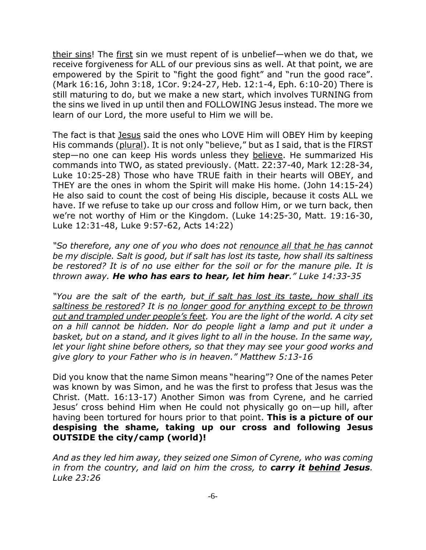their sins! The first sin we must repent of is unbelief—when we do that, we receive forgiveness for ALL of our previous sins as well. At that point, we are empowered by the Spirit to "fight the good fight" and "run the good race". (Mark 16:16, John 3:18, 1Cor. 9:24-27, Heb. 12:1-4, Eph. 6:10-20) There is still maturing to do, but we make a new start, which involves TURNING from the sins we lived in up until then and FOLLOWING Jesus instead. The more we learn of our Lord, the more useful to Him we will be.

The fact is that Jesus said the ones who LOVE Him will OBEY Him by keeping His commands (plural). It is not only "believe," but as I said, that is the FIRST step—no one can keep His words unless they believe. He summarized His commands into TWO, as stated previously. (Matt. 22:37-40, Mark 12:28-34, Luke 10:25-28) Those who have TRUE faith in their hearts will OBEY, and THEY are the ones in whom the Spirit will make His home. (John 14:15-24) He also said to count the cost of being His disciple, because it costs ALL we have. If we refuse to take up our cross and follow Him, or we turn back, then we're not worthy of Him or the Kingdom. (Luke 14:25-30, Matt. 19:16-30, Luke 12:31-48, Luke 9:57-62, Acts 14:22)

*"So therefore, any one of you who does not renounce all that he has cannot be my disciple. Salt is good, but if salt has lost its taste, how shall its saltiness be restored? It is of no use either for the soil or for the manure pile. It is thrown away. He who has ears to hear, let him hear." Luke 14:33-35*

*"You are the salt of the earth, but if salt has lost its taste, how shall its saltiness be restored? It is no longer good for anything except to be thrown out and trampled under people's feet. You are the light of the world. A city set on a hill cannot be hidden. Nor do people light a lamp and put it under a basket, but on a stand, and it gives light to all in the house. In the same way, let your light shine before others, so that they may see your good works and give glory to your Father who is in heaven." Matthew 5:13-16*

Did you know that the name Simon means "hearing"? One of the names Peter was known by was Simon, and he was the first to profess that Jesus was the Christ. (Matt. 16:13-17) Another Simon was from Cyrene, and he carried Jesus' cross behind Him when He could not physically go on—up hill, after having been tortured for hours prior to that point. **This is a picture of our despising the shame, taking up our cross and following Jesus OUTSIDE the city/camp (world)!**

*And as they led him away, they seized one Simon of Cyrene, who was coming in from the country, and laid on him the cross, to carry it behind Jesus. Luke 23:26*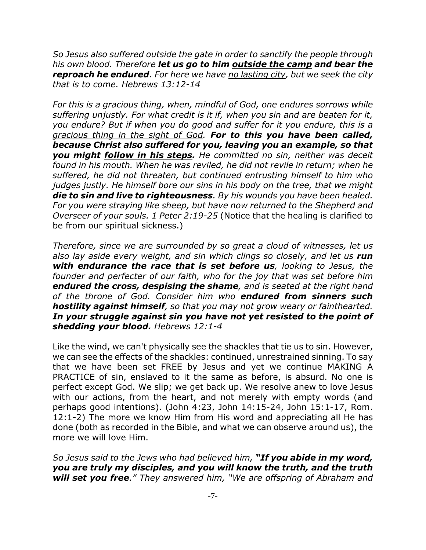*So Jesus also suffered outside the gate in order to sanctify the people through his own blood. Therefore let us go to him outside the camp and bear the reproach he endured. For here we have no lasting city, but we seek the city that is to come. Hebrews 13:12-14*

*For this is a gracious thing, when, mindful of God, one endures sorrows while suffering unjustly. For what credit is it if, when you sin and are beaten for it, you endure? But if when you do good and suffer for it you endure, this is a gracious thing in the sight of God. For to this you have been called, because Christ also suffered for you, leaving you an example, so that you might follow in his steps. He committed no sin, neither was deceit found in his mouth. When he was reviled, he did not revile in return; when he suffered, he did not threaten, but continued entrusting himself to him who judges justly. He himself bore our sins in his body on the tree, that we might die to sin and live to righteousness. By his wounds you have been healed. For you were straying like sheep, but have now returned to the Shepherd and Overseer of your souls. 1 Peter 2:19-25* (Notice that the healing is clarified to be from our spiritual sickness.)

*Therefore, since we are surrounded by so great a cloud of witnesses, let us* also lay aside every weight, and sin which clings so closely, and let us **run** *with endurance the race that is set before us, looking to Jesus, the founder and perfecter of our faith, who for the joy that was set before him endured the cross, despising the shame, and is seated at the right hand of the throne of God. Consider him who endured from sinners such hostility against himself, so that you may not grow weary or fainthearted. In your struggle against sin you have not yet resisted to the point of shedding your blood. Hebrews 12:1-4*

Like the wind, we can't physically see the shackles that tie us to sin. However, we can see the effects of the shackles: continued, unrestrained sinning. To say that we have been set FREE by Jesus and yet we continue MAKING A PRACTICE of sin, enslaved to it the same as before, is absurd. No one is perfect except God. We slip; we get back up. We resolve anew to love Jesus with our actions, from the heart, and not merely with empty words (and perhaps good intentions). (John 4:23, John 14:15-24, John 15:1-17, Rom. 12:1-2) The more we know Him from His word and appreciating all He has done (both as recorded in the Bible, and what we can observe around us), the more we will love Him.

*So Jesus said to the Jews who had believed him, "If you abide in my word, you are truly my disciples, and you will know the truth, and the truth will set you free." They answered him, "We are offspring of Abraham and*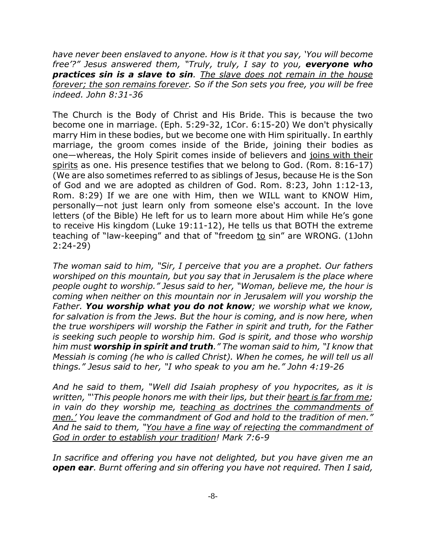*have never been enslaved to anyone. How is it that you say, 'You will become free'?" Jesus answered them, "Truly, truly, I say to you, everyone who practices sin is a slave to sin. The slave does not remain in the house forever; the son remains forever. So if the Son sets you free, you will be free indeed. John 8:31-36*

The Church is the Body of Christ and His Bride. This is because the two become one in marriage. (Eph. 5:29-32, 1Cor. 6:15-20) We don't physically marry Him in these bodies, but we become one with Him spiritually. In earthly marriage, the groom comes inside of the Bride, joining their bodies as one—whereas, the Holy Spirit comes inside of believers and joins with their spirits as one. His presence testifies that we belong to God. (Rom. 8:16-17) (We are also sometimes referred to as siblings of Jesus, because He is the Son of God and we are adopted as children of God. Rom. 8:23, John 1:12-13, Rom. 8:29) If we are one with Him, then we WILL want to KNOW Him, personally—not just learn only from someone else's account. In the love letters (of the Bible) He left for us to learn more about Him while He's gone to receive His kingdom (Luke 19:11-12), He tells us that BOTH the extreme teaching of "law-keeping" and that of "freedom to sin" are WRONG. (1John 2:24-29)

*The woman said to him, "Sir, I perceive that you are a prophet. Our fathers worshiped on this mountain, but you say that in Jerusalem is the place where people ought to worship." Jesus said to her, "Woman, believe me, the hour is coming when neither on this mountain nor in Jerusalem will you worship the Father. You worship what you do not know; we worship what we know, for salvation is from the Jews. But the hour is coming, and is now here, when the true worshipers will worship the Father in spirit and truth, for the Father is seeking such people to worship him. God is spirit, and those who worship him must worship in spirit and truth." The woman said to him, "I know that Messiah is coming (he who is called Christ). When he comes, he will tell us all things." Jesus said to her, "I who speak to you am he." John 4:19-26*

*And he said to them, "Well did Isaiah prophesy of you hypocrites, as it is written, "'This people honors me with their lips, but their heart is far from me; in vain do they worship me, teaching as doctrines the commandments of men.' You leave the commandment of God and hold to the tradition of men." And he said to them, "You have a fine way of rejecting the commandment of God in order to establish your tradition! Mark 7:6-9*

*In sacrifice and offering you have not delighted, but you have given me an open ear. Burnt offering and sin offering you have not required. Then I said,*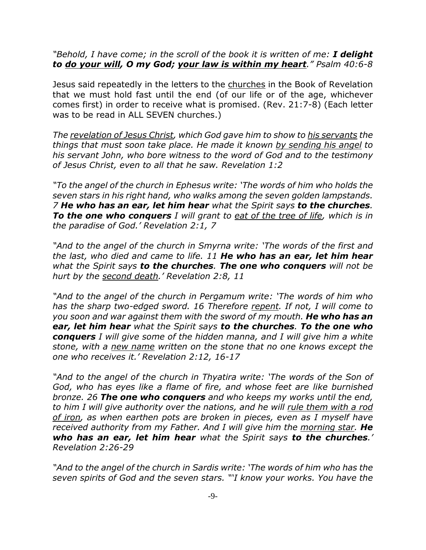*"Behold, I have come; in the scroll of the book it is written of me: I delight to do your will, O my God; your law is within my heart." Psalm 40:6-8*

Jesus said repeatedly in the letters to the churches in the Book of Revelation that we must hold fast until the end (of our life or of the age, whichever comes first) in order to receive what is promised. (Rev. 21:7-8) (Each letter was to be read in ALL SEVEN churches.)

*The revelation of Jesus Christ, which God gave him to show to his servants the things that must soon take place. He made it known by sending his angel to his servant John, who bore witness to the word of God and to the testimony of Jesus Christ, even to all that he saw. Revelation 1:2*

*"To the angel of the church in Ephesus write: 'The words of him who holds the seven stars in his right hand, who walks among the seven golden lampstands. 7 He who has an ear, let him hear what the Spirit says to the churches. To the one who conquers I will grant to eat of the tree of life, which is in the paradise of God.' Revelation 2:1, 7*

*"And to the angel of the church in Smyrna write: 'The words of the first and the last, who died and came to life. 11 He who has an ear, let him hear what the Spirit says to the churches. The one who conquers will not be hurt by the second death.' Revelation 2:8, 11*

*"And to the angel of the church in Pergamum write: 'The words of him who has the sharp two-edged sword. 16 Therefore repent. If not, I will come to you soon and war against them with the sword of my mouth. He who has an ear, let him hear what the Spirit says to the churches. To the one who conquers I will give some of the hidden manna, and I will give him a white stone, with a new name written on the stone that no one knows except the one who receives it.' Revelation 2:12, 16-17*

*"And to the angel of the church in Thyatira write: 'The words of the Son of God, who has eyes like a flame of fire, and whose feet are like burnished bronze. 26 The one who conquers and who keeps my works until the end, to him I will give authority over the nations, and he will rule them with a rod of iron, as when earthen pots are broken in pieces, even as I myself have received authority from my Father. And I will give him the morning star.* He *who has an ear, let him hear what the Spirit says to the churches.' Revelation 2:26-29*

*"And to the angel of the church in Sardis write: 'The words of him who has the seven spirits of God and the seven stars. "'I know your works. You have the*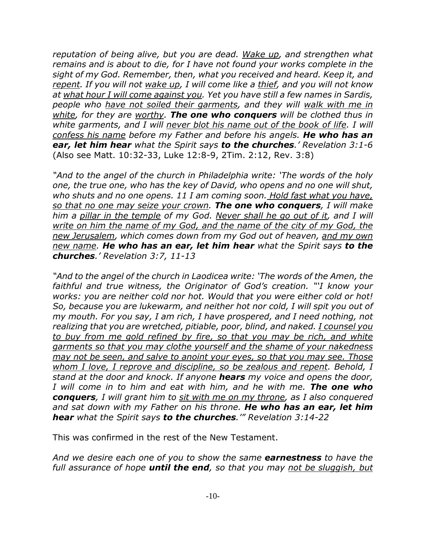*reputation of being alive, but you are dead. Wake up, and strengthen what remains and is about to die, for I have not found your works complete in the sight of my God. Remember, then, what you received and heard. Keep it, and repent. If you will not wake up, I will come like a thief, and you will not know at what hour I will come against you. Yet you have still a few names in Sardis, people who have not soiled their garments, and they will walk with me in white, for they are worthy. The one who conquers will be clothed thus in white garments, and I will never blot his name out of the book of life. I will confess his name before my Father and before his angels. He who has an ear, let him hear what the Spirit says to the churches.' Revelation 3:1-6* (Also see Matt. 10:32-33, Luke 12:8-9, 2Tim. 2:12, Rev. 3:8)

*"And to the angel of the church in Philadelphia write: 'The words of the holy one, the true one, who has the key of David, who opens and no one will shut, who shuts and no one opens. 11 I am coming soon. Hold fast what you have, so that no one may seize your crown. The one who conquers, I will make him a pillar in the temple of my God. Never shall he go out of it, and I will write on him the name of my God, and the name of the city of my God, the new Jerusalem, which comes down from my God out of heaven, and my own new name. He who has an ear, let him hear what the Spirit says to the churches.' Revelation 3:7, 11-13*

*"And to the angel of the church in Laodicea write: 'The words of the Amen, the faithful and true witness, the Originator of God's creation. "'I know your works: you are neither cold nor hot. Would that you were either cold or hot! So, because you are lukewarm, and neither hot nor cold, I will spit you out of my mouth. For you say, I am rich, I have prospered, and I need nothing, not realizing that you are wretched, pitiable, poor, blind, and naked. I counsel you to buy from me gold refined by fire, so that you may be rich, and white garments so that you may clothe yourself and the shame of your nakedness may not be seen, and salve to anoint your eyes, so that you may see. Those whom I love, I reprove and discipline, so be zealous and repent. Behold, I stand at the door and knock. If anyone hears my voice and opens the door, I will come in to him and eat with him, and he with me. The one who conquers, I will grant him to sit with me on my throne, as I also conquered and sat down with my Father on his throne. He who has an ear, let him hear what the Spirit says to the churches.'" Revelation 3:14-22*

This was confirmed in the rest of the New Testament.

*And we desire each one of you to show the same earnestness to have the full assurance of hope until the end, so that you may not be sluggish, but*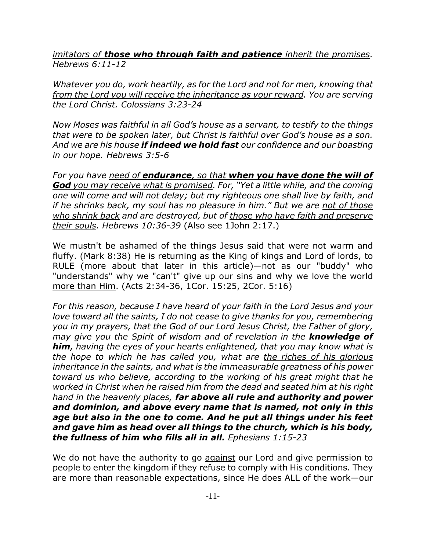*imitators of those who through faith and patience inherit the promises. Hebrews 6:11-12*

*Whatever you do, work heartily, as for the Lord and not for men, knowing that from the Lord you will receive the inheritance as your reward. You are serving the Lord Christ. Colossians 3:23-24*

*Now Moses was faithful in all God's house as a servant, to testify to the things that were to be spoken later, but Christ is faithful over God's house as a son. And we are his house if indeed we hold fast our confidence and our boasting in our hope. Hebrews 3:5-6*

*For you have need of endurance, so that when you have done the will of God you may receive what is promised. For, "Yet a little while, and the coming one will come and will not delay; but my righteous one shall live by faith, and if he shrinks back, my soul has no pleasure in him." But we are not of those who shrink back and are destroyed, but of those who have faith and preserve their souls. Hebrews 10:36-39* (Also see 1John 2:17.)

We mustn't be ashamed of the things Jesus said that were not warm and fluffy. (Mark 8:38) He is returning as the King of kings and Lord of lords, to RULE (more about that later in this article)—not as our "buddy" who "understands" why we "can't" give up our sins and why we love the world more than Him. (Acts 2:34-36, 1Cor. 15:25, 2Cor. 5:16)

*For this reason, because I have heard of your faith in the Lord Jesus and your love toward all the saints, I do not cease to give thanks for you, remembering you in my prayers, that the God of our Lord Jesus Christ, the Father of glory, may give you the Spirit of wisdom and of revelation in the knowledge of him, having the eyes of your hearts enlightened, that you may know what is the hope to which he has called you, what are the riches of his glorious inheritance in the saints, and what is the immeasurable greatness of his power toward us who believe, according to the working of his great might that he worked in Christ when he raised him from the dead and seated him at his right hand in the heavenly places, far above all rule and authority and power and dominion, and above every name that is named, not only in this age but also in the one to come. And he put all things under his feet and gave him as head over all things to the church, which is his body, the fullness of him who fills all in all. Ephesians 1:15-23*

We do not have the authority to go against our Lord and give permission to people to enter the kingdom if they refuse to comply with His conditions. They are more than reasonable expectations, since He does ALL of the work—our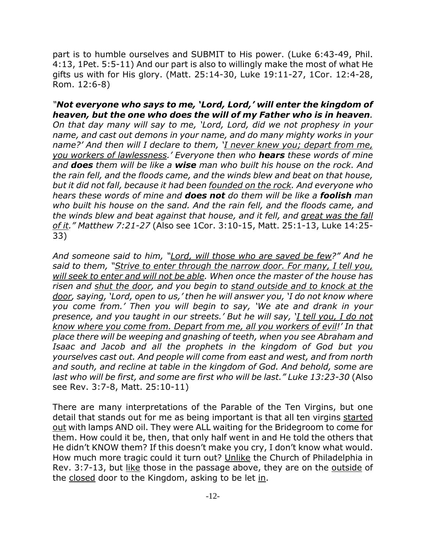part is to humble ourselves and SUBMIT to His power. (Luke 6:43-49, Phil. 4:13, 1Pet. 5:5-11) And our part is also to willingly make the most of what He gifts us with for His glory. (Matt. 25:14-30, Luke 19:11-27, 1Cor. 12:4-28, Rom. 12:6-8)

## *"Not everyone who says to me, 'Lord, Lord,' will enter the kingdom of heaven, but the one who does the will of my Father who is in heaven.*

*On that day many will say to me, 'Lord, Lord, did we not prophesy in your name, and cast out demons in your name, and do many mighty works in your name?' And then will I declare to them, 'I never knew you; depart from me, you workers of lawlessness.' Everyone then who hears these words of mine and does them will be like a wise man who built his house on the rock. And the rain fell, and the floods came, and the winds blew and beat on that house, but it did not fall, because it had been founded on the rock. And everyone who hears these words of mine and does not do them will be like a foolish man who built his house on the sand. And the rain fell, and the floods came, and the winds blew and beat against that house, and it fell, and great was the fall of it." Matthew 7:21-27* (Also see 1Cor. 3:10-15, Matt. 25:1-13, Luke 14:25- 33)

*And someone said to him, "Lord, will those who are saved be few?" And he said to them, "Strive to enter through the narrow door. For many, I tell you, will seek to enter and will not be able. When once the master of the house has risen and shut the door, and you begin to stand outside and to knock at the door, saying, 'Lord, open to us,' then he will answer you, 'I do not know where you come from.' Then you will begin to say, 'We ate and drank in your presence, and you taught in our streets.' But he will say, 'I tell you, I do not know where you come from. Depart from me, all you workers of evil!' In that place there will be weeping and gnashing of teeth, when you see Abraham and Isaac and Jacob and all the prophets in the kingdom of God but you yourselves cast out. And people will come from east and west, and from north and south, and recline at table in the kingdom of God. And behold, some are last who will be first, and some are first who will be last." Luke 13:23-30* (Also see Rev. 3:7-8, Matt. 25:10-11)

There are many interpretations of the Parable of the Ten Virgins, but one detail that stands out for me as being important is that all ten virgins started out with lamps AND oil. They were ALL waiting for the Bridegroom to come for them. How could it be, then, that only half went in and He told the others that He didn't KNOW them? If this doesn't make you cry, I don't know what would. How much more tragic could it turn out? Unlike the Church of Philadelphia in Rev. 3:7-13, but like those in the passage above, they are on the outside of the closed door to the Kingdom, asking to be let in.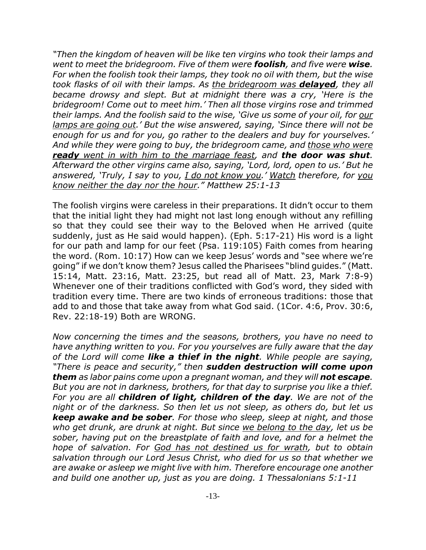*"Then the kingdom of heaven will be like ten virgins who took their lamps and went to meet the bridegroom. Five of them were foolish, and five were wise. For when the foolish took their lamps, they took no oil with them, but the wise took flasks of oil with their lamps. As the bridegroom was delayed, they all became drowsy and slept. But at midnight there was a cry, 'Here is the bridegroom! Come out to meet him.' Then all those virgins rose and trimmed their lamps. And the foolish said to the wise, 'Give us some of your oil, for our lamps are going out.' But the wise answered, saying, 'Since there will not be enough for us and for you, go rather to the dealers and buy for yourselves.' And while they were going to buy, the bridegroom came, and those who were ready went in with him to the marriage feast, and the door was shut. Afterward the other virgins came also, saying, 'Lord, lord, open to us.' But he answered, 'Truly, I say to you, I do not know you.' Watch therefore, for you know neither the day nor the hour." Matthew 25:1-13*

The foolish virgins were careless in their preparations. It didn't occur to them that the initial light they had might not last long enough without any refilling so that they could see their way to the Beloved when He arrived (quite suddenly, just as He said would happen). (Eph. 5:17-21) His word is a light for our path and lamp for our feet (Psa. 119:105) Faith comes from hearing the word. (Rom. 10:17) How can we keep Jesus' words and "see where we're going" if we don't know them? Jesus called the Pharisees "blind guides." (Matt. 15:14, Matt. 23:16, Matt. 23:25, but read all of Matt. 23, Mark 7:8-9) Whenever one of their traditions conflicted with God's word, they sided with tradition every time. There are two kinds of erroneous traditions: those that add to and those that take away from what God said. (1Cor. 4:6, Prov. 30:6, Rev. 22:18-19) Both are WRONG.

*Now concerning the times and the seasons, brothers, you have no need to have anything written to you. For you yourselves are fully aware that the day of the Lord will come like a thief in the night. While people are saying, "There is peace and security," then sudden destruction will come upon them as labor pains come upon a pregnant woman, and they will not escape. But you are not in darkness, brothers, for that day to surprise you like a thief. For you are all children of light, children of the day. We are not of the night or of the darkness. So then let us not sleep, as others do, but let us keep awake and be sober. For those who sleep, sleep at night, and those who get drunk, are drunk at night. But since we belong to the day, let us be sober, having put on the breastplate of faith and love, and for a helmet the hope of salvation. For God has not destined us for wrath, but to obtain salvation through our Lord Jesus Christ, who died for us so that whether we are awake or asleep we might live with him. Therefore encourage one another and build one another up, just as you are doing. 1 Thessalonians 5:1-11*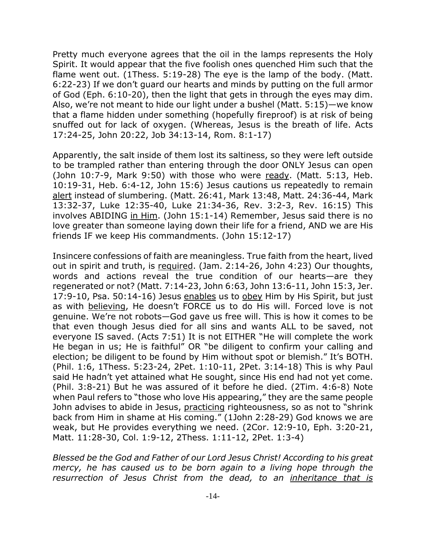Pretty much everyone agrees that the oil in the lamps represents the Holy Spirit. It would appear that the five foolish ones quenched Him such that the flame went out. (1Thess. 5:19-28) The eye is the lamp of the body. (Matt. 6:22-23) If we don't guard our hearts and minds by putting on the full armor of God (Eph. 6:10-20), then the light that gets in through the eyes may dim. Also, we're not meant to hide our light under a bushel (Matt. 5:15)—we know that a flame hidden under something (hopefully fireproof) is at risk of being snuffed out for lack of oxygen. (Whereas, Jesus is the breath of life. Acts 17:24-25, John 20:22, Job 34:13-14, Rom. 8:1-17)

Apparently, the salt inside of them lost its saltiness, so they were left outside to be trampled rather than entering through the door ONLY Jesus can open (John 10:7-9, Mark 9:50) with those who were ready. (Matt. 5:13, Heb. 10:19-31, Heb. 6:4-12, John 15:6) Jesus cautions us repeatedly to remain alert instead of slumbering. (Matt. 26:41, Mark 13:48, Matt. 24:36-44, Mark 13:32-37, Luke 12:35-40, Luke 21:34-36, Rev. 3:2-3, Rev. 16:15) This involves ABIDING in Him. (John 15:1-14) Remember, Jesus said there is no love greater than someone laying down their life for a friend, AND we are His friends IF we keep His commandments. (John 15:12-17)

Insincere confessions of faith are meaningless. True faith from the heart, lived out in spirit and truth, is required. (Jam. 2:14-26, John 4:23) Our thoughts, words and actions reveal the true condition of our hearts—are they regenerated or not? (Matt. 7:14-23, John 6:63, John 13:6-11, John 15:3, Jer. 17:9-10, Psa. 50:14-16) Jesus enables us to obey Him by His Spirit, but just as with believing, He doesn't FORCE us to do His will. Forced love is not genuine. We're not robots—God gave us free will. This is how it comes to be that even though Jesus died for all sins and wants ALL to be saved, not everyone IS saved. (Acts 7:51) It is not EITHER "He will complete the work He began in us; He is faithful" OR "be diligent to confirm your calling and election; be diligent to be found by Him without spot or blemish." It's BOTH. (Phil. 1:6, 1Thess. 5:23-24, 2Pet. 1:10-11, 2Pet. 3:14-18) This is why Paul said He hadn't yet attained what He sought, since His end had not yet come. (Phil. 3:8-21) But he was assured of it before he died. (2Tim. 4:6-8) Note when Paul refers to "those who love His appearing," they are the same people John advises to abide in Jesus, practicing righteousness, so as not to "shrink back from Him in shame at His coming." (1John 2:28-29) God knows we are weak, but He provides everything we need. (2Cor. 12:9-10, Eph. 3:20-21, Matt. 11:28-30, Col. 1:9-12, 2Thess. 1:11-12, 2Pet. 1:3-4)

*Blessed be the God and Father of our Lord Jesus Christ! According to his great mercy, he has caused us to be born again to a living hope through the resurrection of Jesus Christ from the dead, to an inheritance that is*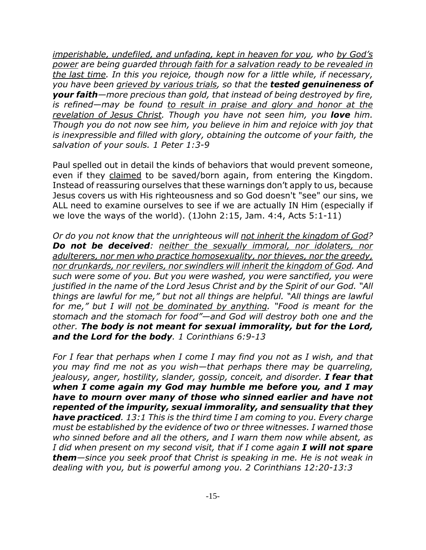*imperishable, undefiled, and unfading, kept in heaven for you, who by God's power are being guarded through faith for a salvation ready to be revealed in the last time. In this you rejoice, though now for a little while, if necessary, you have been grieved by various trials, so that the tested genuineness of your faith—more precious than gold, that instead of being destroyed by fire, is refined—may be found to result in praise and glory and honor at the revelation of Jesus Christ. Though you have not seen him, you love him. Though you do not now see him, you believe in him and rejoice with joy that is inexpressible and filled with glory, obtaining the outcome of your faith, the salvation of your souls. 1 Peter 1:3-9*

Paul spelled out in detail the kinds of behaviors that would prevent someone, even if they claimed to be saved/born again, from entering the Kingdom. Instead of reassuring ourselves that these warnings don't apply to us, because Jesus covers us with His righteousness and so God doesn't "see" our sins, we ALL need to examine ourselves to see if we are actually IN Him (especially if we love the ways of the world). (1John 2:15, Jam. 4:4, Acts 5:1-11)

*Or do you not know that the unrighteous will not inherit the kingdom of God? Do not be deceived: neither the sexually immoral, nor idolaters, nor adulterers, nor men who practice homosexuality, nor thieves, nor the greedy, nor drunkards, nor revilers, nor swindlers will inherit the kingdom of God. And such were some of you. But you were washed, you were sanctified, you were justified in the name of the Lord Jesus Christ and by the Spirit of our God. "All things are lawful for me," but not all things are helpful. "All things are lawful for me," but I will not be dominated by anything. "Food is meant for the stomach and the stomach for food"—and God will destroy both one and the other. The body is not meant for sexual immorality, but for the Lord, and the Lord for the body. 1 Corinthians 6:9-13*

*For I fear that perhaps when I come I may find you not as I wish, and that you may find me not as you wish—that perhaps there may be quarreling, jealousy, anger, hostility, slander, gossip, conceit, and disorder. I fear that when I come again my God may humble me before you, and I may have to mourn over many of those who sinned earlier and have not repented of the impurity, sexual immorality, and sensuality that they have practiced. 13:1 This is the third time I am coming to you. Every charge must be established by the evidence of two or three witnesses. I warned those who sinned before and all the others, and I warn them now while absent, as I did when present on my second visit, that if I come again I will not spare them—since you seek proof that Christ is speaking in me. He is not weak in dealing with you, but is powerful among you. 2 Corinthians 12:20-13:3*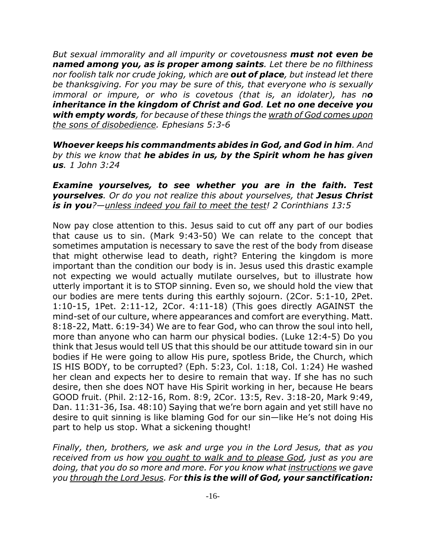*But sexual immorality and all impurity or covetousness must not even be named among you, as is proper among saints. Let there be no filthiness nor foolish talk nor crude joking, which are out of place, but instead let there be thanksgiving. For you may be sure of this, that everyone who is sexually immoral or impure, or who is covetous (that is, an idolater), has no inheritance in the kingdom of Christ and God. Let no one deceive you with empty words, for because of these things the wrath of God comes upon the sons of disobedience. Ephesians 5:3-6*

*Whoever keeps his commandments abides in God, and God in him. And by this we know that he abides in us, by the Spirit whom he has given us. 1 John 3:24*

*Examine yourselves, to see whether you are in the faith. Test yourselves. Or do you not realize this about yourselves, that Jesus Christ is in you?—unless indeed you fail to meet the test! 2 Corinthians 13:5*

Now pay close attention to this. Jesus said to cut off any part of our bodies that cause us to sin. (Mark 9:43-50) We can relate to the concept that sometimes amputation is necessary to save the rest of the body from disease that might otherwise lead to death, right? Entering the kingdom is more important than the condition our body is in. Jesus used this drastic example not expecting we would actually mutilate ourselves, but to illustrate how utterly important it is to STOP sinning. Even so, we should hold the view that our bodies are mere tents during this earthly sojourn. (2Cor. 5:1-10, 2Pet. 1:10-15, 1Pet. 2:11-12, 2Cor. 4:11-18) (This goes directly AGAINST the mind-set of our culture, where appearances and comfort are everything. Matt. 8:18-22, Matt. 6:19-34) We are to fear God, who can throw the soul into hell, more than anyone who can harm our physical bodies. (Luke 12:4-5) Do you think that Jesus would tell US that this should be our attitude toward sin in our bodies if He were going to allow His pure, spotless Bride, the Church, which IS HIS BODY, to be corrupted? (Eph. 5:23, Col. 1:18, Col. 1:24) He washed her clean and expects her to desire to remain that way. If she has no such desire, then she does NOT have His Spirit working in her, because He bears GOOD fruit. (Phil. 2:12-16, Rom. 8:9, 2Cor. 13:5, Rev. 3:18-20, Mark 9:49, Dan. 11:31-36, Isa. 48:10) Saying that we're born again and yet still have no desire to quit sinning is like blaming God for our sin—like He's not doing His part to help us stop. What a sickening thought!

*Finally, then, brothers, we ask and urge you in the Lord Jesus, that as you received from us how you ought to walk and to please God, just as you are doing, that you do so more and more. For you know what instructions we gave you through the Lord Jesus. For this is the will of God, your sanctification:*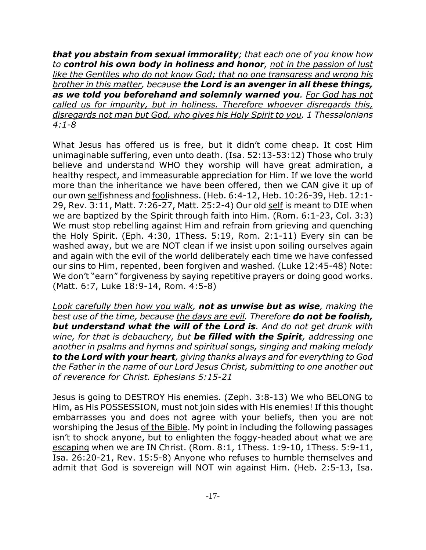*that you abstain from sexual immorality; that each one of you know how to control his own body in holiness and honor, not in the passion of lust like the Gentiles who do not know God; that no one transgress and wrong his brother in this matter, because the Lord is an avenger in all these things, as we told you beforehand and solemnly warned you. For God has not called us for impurity, but in holiness. Therefore whoever disregards this, disregards not man but God, who gives his Holy Spirit to you. 1 Thessalonians 4:1-8*

What Jesus has offered us is free, but it didn't come cheap. It cost Him unimaginable suffering, even unto death. (Isa. 52:13-53:12) Those who truly believe and understand WHO they worship will have great admiration, a healthy respect, and immeasurable appreciation for Him. If we love the world more than the inheritance we have been offered, then we CAN give it up of our own selfishness and foolishness. (Heb. 6:4-12, Heb. 10:26-39, Heb. 12:1- 29, Rev. 3:11, Matt. 7:26-27, Matt. 25:2-4) Our old self is meant to DIE when we are baptized by the Spirit through faith into Him. (Rom. 6:1-23, Col. 3:3) We must stop rebelling against Him and refrain from grieving and quenching the Holy Spirit. (Eph. 4:30, 1Thess. 5:19, Rom. 2:1-11) Every sin can be washed away, but we are NOT clean if we insist upon soiling ourselves again and again with the evil of the world deliberately each time we have confessed our sins to Him, repented, been forgiven and washed. (Luke 12:45-48) Note: We don't "earn" forgiveness by saying repetitive prayers or doing good works. (Matt. 6:7, Luke 18:9-14, Rom. 4:5-8)

*Look carefully then how you walk, not as unwise but as wise, making the best use of the time, because the days are evil. Therefore do not be foolish, but understand what the will of the Lord is. And do not get drunk with wine, for that is debauchery, but be filled with the Spirit, addressing one another in psalms and hymns and spiritual songs, singing and making melody to the Lord with your heart, giving thanks always and for everything to God the Father in the name of our Lord Jesus Christ, submitting to one another out of reverence for Christ. Ephesians 5:15-21*

Jesus is going to DESTROY His enemies. (Zeph. 3:8-13) We who BELONG to Him, as His POSSESSION, must not join sides with His enemies! If this thought embarrasses you and does not agree with your beliefs, then you are not worshiping the Jesus of the Bible. My point in including the following passages isn't to shock anyone, but to enlighten the foggy-headed about what we are escaping when we are IN Christ. (Rom. 8:1, 1Thess. 1:9-10, 1Thess. 5:9-11, Isa. 26:20-21, Rev. 15:5-8) Anyone who refuses to humble themselves and admit that God is sovereign will NOT win against Him. (Heb. 2:5-13, Isa.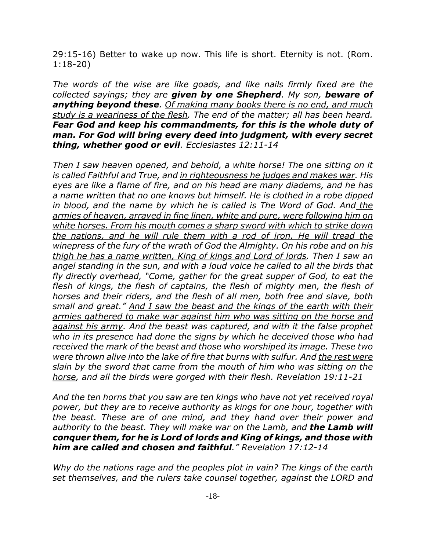29:15-16) Better to wake up now. This life is short. Eternity is not. (Rom. 1:18-20)

*The words of the wise are like goads, and like nails firmly fixed are the collected sayings; they are given by one Shepherd. My son, beware of anything beyond these. Of making many books there is no end, and much study is a weariness of the flesh. The end of the matter; all has been heard. Fear God and keep his commandments, for this is the whole duty of man. For God will bring every deed into judgment, with every secret thing, whether good or evil. Ecclesiastes 12:11-14*

*Then I saw heaven opened, and behold, a white horse! The one sitting on it is called Faithful and True, and in righteousness he judges and makes war. His eyes are like a flame of fire, and on his head are many diadems, and he has a name written that no one knows but himself. He is clothed in a robe dipped in blood, and the name by which he is called is The Word of God. And the armies of heaven, arrayed in fine linen, white and pure, were following him on white horses. From his mouth comes a sharp sword with which to strike down the nations, and he will rule them with a rod of iron. He will tread the winepress of the fury of the wrath of God the Almighty. On his robe and on his thigh he has a name written, King of kings and Lord of lords. Then I saw an angel standing in the sun, and with a loud voice he called to all the birds that fly directly overhead, "Come, gather for the great supper of God, to eat the flesh of kings, the flesh of captains, the flesh of mighty men, the flesh of horses and their riders, and the flesh of all men, both free and slave, both small and great." And I saw the beast and the kings of the earth with their armies gathered to make war against him who was sitting on the horse and against his army. And the beast was captured, and with it the false prophet who in its presence had done the signs by which he deceived those who had received the mark of the beast and those who worshiped its image. These two were thrown alive into the lake of fire that burns with sulfur. And the rest were slain by the sword that came from the mouth of him who was sitting on the horse, and all the birds were gorged with their flesh. Revelation 19:11-21*

*And the ten horns that you saw are ten kings who have not yet received royal power, but they are to receive authority as kings for one hour, together with the beast. These are of one mind, and they hand over their power and* authority to the beast. They will make war on the Lamb, and **the Lamb will** *conquer them, for he is Lord of lords and King of kings, and those with him are called and chosen and faithful." Revelation 17:12-14*

*Why do the nations rage and the peoples plot in vain? The kings of the earth set themselves, and the rulers take counsel together, against the LORD and*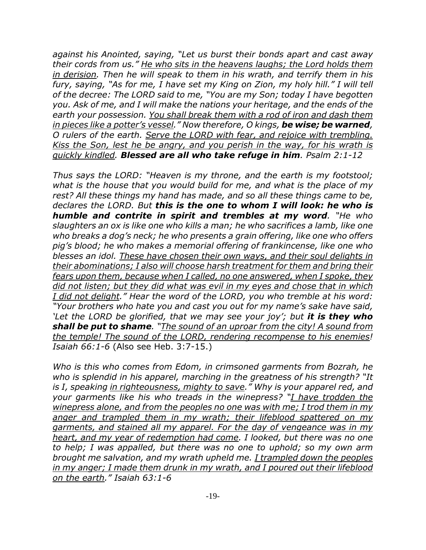*against his Anointed, saying, "Let us burst their bonds apart and cast away their cords from us." He who sits in the heavens laughs; the Lord holds them in derision. Then he will speak to them in his wrath, and terrify them in his fury, saying, "As for me, I have set my King on Zion, my holy hill." I will tell of the decree: The LORD said to me, "You are my Son; today I have begotten you. Ask of me, and I will make the nations your heritage, and the ends of the earth your possession. You shall break them with a rod of iron and dash them in pieces like a potter's vessel." Now therefore, O kings, be wise; be warned, O rulers of the earth. Serve the LORD with fear, and rejoice with trembling. Kiss the Son, lest he be angry, and you perish in the way, for his wrath is quickly kindled. Blessed are all who take refuge in him. Psalm 2:1-12*

*Thus says the LORD: "Heaven is my throne, and the earth is my footstool; what is the house that you would build for me, and what is the place of my rest? All these things my hand has made, and so all these things came to be, declares the LORD. But this is the one to whom I will look: he who is humble and contrite in spirit and trembles at my word. "He who slaughters an ox is like one who kills a man; he who sacrifices a lamb, like one who breaks a dog's neck; he who presents a grain offering, like one who offers pig's blood; he who makes a memorial offering of frankincense, like one who blesses an idol. These have chosen their own ways, and their soul delights in their abominations; I also will choose harsh treatment for them and bring their fears upon them, because when I called, no one answered, when I spoke, they did not listen; but they did what was evil in my eyes and chose that in which I did not delight." Hear the word of the LORD, you who tremble at his word: "Your brothers who hate you and cast you out for my name's sake have said, 'Let the LORD be glorified, that we may see your joy'; but it is they who shall be put to shame. "The sound of an uproar from the city! A sound from the temple! The sound of the LORD, rendering recompense to his enemies! Isaiah 66:1-6* (Also see Heb. 3:7-15.)

*Who is this who comes from Edom, in crimsoned garments from Bozrah, he who is splendid in his apparel, marching in the greatness of his strength? "It is I, speaking in righteousness, mighty to save." Why is your apparel red, and your garments like his who treads in the winepress? "I have trodden the winepress alone, and from the peoples no one was with me; I trod them in my anger and trampled them in my wrath; their lifeblood spattered on my garments, and stained all my apparel. For the day of vengeance was in my heart, and my year of redemption had come. I looked, but there was no one to help; I was appalled, but there was no one to uphold; so my own arm brought me salvation, and my wrath upheld me. I trampled down the peoples in my anger; I made them drunk in my wrath, and I poured out their lifeblood on the earth." Isaiah 63:1-6*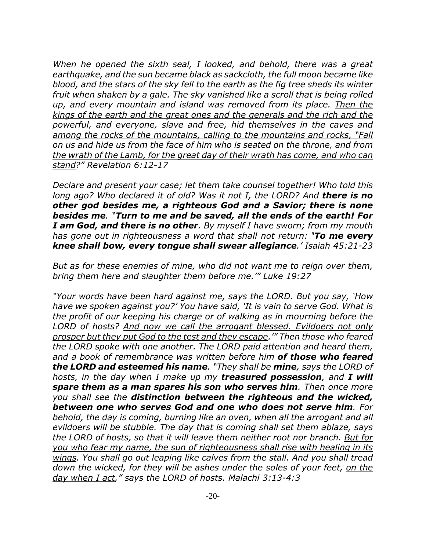*When he opened the sixth seal, I looked, and behold, there was a great earthquake, and the sun became black as sackcloth, the full moon became like blood, and the stars of the sky fell to the earth as the fig tree sheds its winter fruit when shaken by a gale. The sky vanished like a scroll that is being rolled up, and every mountain and island was removed from its place. Then the kings of the earth and the great ones and the generals and the rich and the powerful, and everyone, slave and free, hid themselves in the caves and among the rocks of the mountains, calling to the mountains and rocks, "Fall on us and hide us from the face of him who is seated on the throne, and from the wrath of the Lamb, for the great day of their wrath has come, and who can stand?" Revelation 6:12-17*

*Declare and present your case; let them take counsel together! Who told this long ago? Who declared it of old? Was it not I, the LORD? And there is no other god besides me, a righteous God and a Savior; there is none besides me. "Turn to me and be saved, all the ends of the earth! For I am God, and there is no other. By myself I have sworn; from my mouth has gone out in righteousness a word that shall not return: 'To me every knee shall bow, every tongue shall swear allegiance.' Isaiah 45:21-23*

*But as for these enemies of mine, who did not want me to reign over them, bring them here and slaughter them before me.'" Luke 19:27*

*"Your words have been hard against me, says the LORD. But you say, 'How have we spoken against you?' You have said, 'It is vain to serve God. What is the profit of our keeping his charge or of walking as in mourning before the LORD of hosts? And now we call the arrogant blessed. Evildoers not only prosper but they put God to the test and they escape.'" Then those who feared the LORD spoke with one another. The LORD paid attention and heard them, and a book of remembrance was written before him of those who feared the LORD and esteemed his name. "They shall be mine, says the LORD of hosts, in the day when I make up my treasured possession, and I will spare them as a man spares his son who serves him. Then once more you shall see the distinction between the righteous and the wicked, between one who serves God and one who does not serve him. For behold, the day is coming, burning like an oven, when all the arrogant and all evildoers will be stubble. The day that is coming shall set them ablaze, says the LORD of hosts, so that it will leave them neither root nor branch. But for you who fear my name, the sun of righteousness shall rise with healing in its wings. You shall go out leaping like calves from the stall. And you shall tread down the wicked, for they will be ashes under the soles of your feet, on the day when I act," says the LORD of hosts. Malachi 3:13-4:3*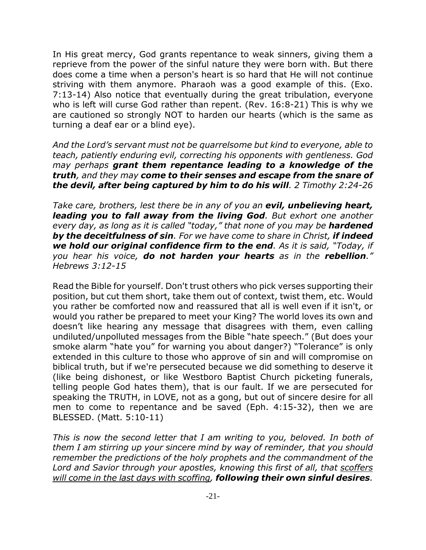In His great mercy, God grants repentance to weak sinners, giving them a reprieve from the power of the sinful nature they were born with. But there does come a time when a person's heart is so hard that He will not continue striving with them anymore. Pharaoh was a good example of this. (Exo. 7:13-14) Also notice that eventually during the great tribulation, everyone who is left will curse God rather than repent. (Rev. 16:8-21) This is why we are cautioned so strongly NOT to harden our hearts (which is the same as turning a deaf ear or a blind eye).

*And the Lord's servant must not be quarrelsome but kind to everyone, able to teach, patiently enduring evil, correcting his opponents with gentleness. God may perhaps grant them repentance leading to a knowledge of the truth, and they may come to their senses and escape from the snare of the devil, after being captured by him to do his will. 2 Timothy 2:24-26*

*Take care, brothers, lest there be in any of you an evil, unbelieving heart, leading you to fall away from the living God. But exhort one another every day, as long as it is called "today," that none of you may be hardened by the deceitfulness of sin. For we have come to share in Christ, if indeed we hold our original confidence firm to the end. As it is said, "Today, if you hear his voice, do not harden your hearts as in the rebellion." Hebrews 3:12-15*

Read the Bible for yourself. Don't trust others who pick verses supporting their position, but cut them short, take them out of context, twist them, etc. Would you rather be comforted now and reassured that all is well even if it isn't, or would you rather be prepared to meet your King? The world loves its own and doesn't like hearing any message that disagrees with them, even calling undiluted/unpolluted messages from the Bible "hate speech." (But does your smoke alarm "hate you" for warning you about danger?) "Tolerance" is only extended in this culture to those who approve of sin and will compromise on biblical truth, but if we're persecuted because we did something to deserve it (like being dishonest, or like Westboro Baptist Church picketing funerals, telling people God hates them), that is our fault. If we are persecuted for speaking the TRUTH, in LOVE, not as a gong, but out of sincere desire for all men to come to repentance and be saved (Eph. 4:15-32), then we are BLESSED. (Matt. 5:10-11)

*This is now the second letter that I am writing to you, beloved. In both of them I am stirring up your sincere mind by way of reminder, that you should remember the predictions of the holy prophets and the commandment of the Lord and Savior through your apostles, knowing this first of all, that scoffers will come in the last days with scoffing, following their own sinful desires.*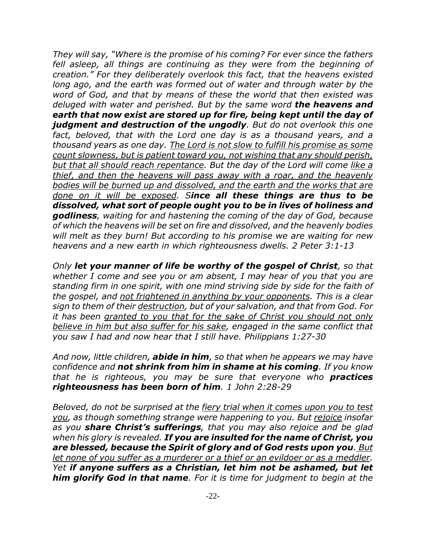*They will say, "Where is the promise of his coming? For ever since the fathers fell asleep, all things are continuing as they were from the beginning of creation." For they deliberately overlook this fact, that the heavens existed long ago, and the earth was formed out of water and through water by the word of God, and that by means of these the world that then existed was deluged with water and perished. But by the same word the heavens and earth that now exist are stored up for fire, being kept until the day of judgment and destruction of the ungodly. But do not overlook this one fact, beloved, that with the Lord one day is as a thousand years, and a thousand years as one day. The Lord is not slow to fulfill his promise as some count slowness, but is patient toward you, not wishing that any should perish, but that all should reach repentance. But the day of the Lord will come like a thief, and then the heavens will pass away with a roar, and the heavenly bodies will be burned up and dissolved, and the earth and the works that are done on it will be exposed. Since all these things are thus to be dissolved, what sort of people ought you to be in lives of holiness and godliness, waiting for and hastening the coming of the day of God, because of which the heavens will be set on fire and dissolved, and the heavenly bodies will melt as they burn! But according to his promise we are waiting for new heavens and a new earth in which righteousness dwells. 2 Peter 3:1-13*

*Only let your manner of life be worthy of the gospel of Christ, so that whether I come and see you or am absent, I may hear of you that you are standing firm in one spirit, with one mind striving side by side for the faith of the gospel, and not frightened in anything by your opponents. This is a clear sign to them of their destruction, but of your salvation, and that from God. For it has been granted to you that for the sake of Christ you should not only believe in him but also suffer for his sake, engaged in the same conflict that you saw I had and now hear that I still have. Philippians 1:27-30*

*And now, little children, abide in him, so that when he appears we may have confidence and not shrink from him in shame at his coming. If you know that he is righteous, you may be sure that everyone who practices righteousness has been born of him. 1 John 2:28-29*

*Beloved, do not be surprised at the fiery trial when it comes upon you to test you, as though something strange were happening to you. But rejoice insofar as you share Christ's sufferings, that you may also rejoice and be glad when his glory is revealed. If you are insulted for the name of Christ, you are blessed, because the Spirit of glory and of God rests upon you. But let none of you suffer as a murderer or a thief or an evildoer or as a meddler. Yet if anyone suffers as a Christian, let him not be ashamed, but let him glorify God in that name. For it is time for judgment to begin at the*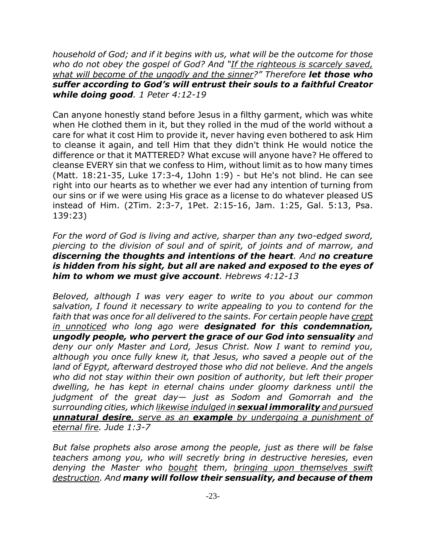*household of God; and if it begins with us, what will be the outcome for those who do not obey the gospel of God? And "If the righteous is scarcely saved, what will become of the ungodly and the sinner?" Therefore let those who suffer according to God's will entrust their souls to a faithful Creator while doing good. 1 Peter 4:12-19*

Can anyone honestly stand before Jesus in a filthy garment, which was white when He clothed them in it, but they rolled in the mud of the world without a care for what it cost Him to provide it, never having even bothered to ask Him to cleanse it again, and tell Him that they didn't think He would notice the difference or that it MATTERED? What excuse will anyone have? He offered to cleanse EVERY sin that we confess to Him, without limit as to how many times (Matt. 18:21-35, Luke 17:3-4, 1John 1:9) - but He's not blind. He can see right into our hearts as to whether we ever had any intention of turning from our sins or if we were using His grace as a license to do whatever pleased US instead of Him. (2Tim. 2:3-7, 1Pet. 2:15-16, Jam. 1:25, Gal. 5:13, Psa. 139:23)

*For the word of God is living and active, sharper than any two-edged sword, piercing to the division of soul and of spirit, of joints and of marrow, and discerning the thoughts and intentions of the heart. And no creature is hidden from his sight, but all are naked and exposed to the eyes of him to whom we must give account. Hebrews 4:12-13*

*Beloved, although I was very eager to write to you about our common salvation, I found it necessary to write appealing to you to contend for the faith that was once for all delivered to the saints. For certain people have crept in unnoticed who long ago were designated for this condemnation, ungodly people, who pervert the grace of our God into sensuality and deny our only Master and Lord, Jesus Christ. Now I want to remind you, although you once fully knew it, that Jesus, who saved a people out of the land of Egypt, afterward destroyed those who did not believe. And the angels who did not stay within their own position of authority, but left their proper dwelling, he has kept in eternal chains under gloomy darkness until the judgment of the great day— just as Sodom and Gomorrah and the surrounding cities, which likewise indulged in sexual immorality and pursued unnatural desire, serve as an example by undergoing a punishment of eternal fire. Jude 1:3-7*

*But false prophets also arose among the people, just as there will be false teachers among you, who will secretly bring in destructive heresies, even denying the Master who bought them, bringing upon themselves swift destruction. And many will follow their sensuality, and because of them*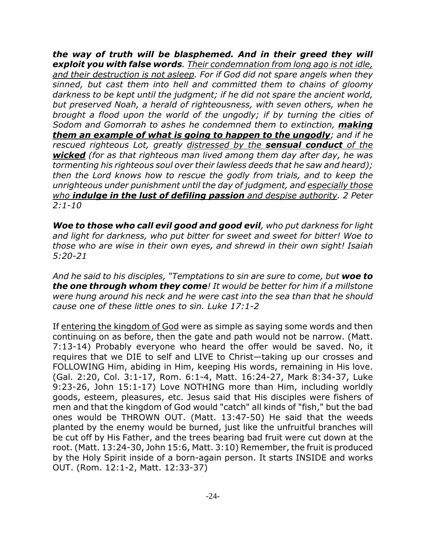*the way of truth will be blasphemed. And in their greed they will exploit you with false words. Their condemnation from long ago is not idle, and their destruction is not asleep. For if God did not spare angels when they sinned, but cast them into hell and committed them to chains of gloomy darkness to be kept until the judgment; if he did not spare the ancient world, but preserved Noah, a herald of righteousness, with seven others, when he brought a flood upon the world of the ungodly; if by turning the cities of Sodom and Gomorrah to ashes he condemned them to extinction, making them an example of what is going to happen to the ungodly; and if he rescued righteous Lot, greatly distressed by the sensual conduct of the wicked (for as that righteous man lived among them day after day, he was tormenting his righteous soul over their lawless deeds that he saw and heard); then the Lord knows how to rescue the godly from trials, and to keep the unrighteous under punishment until the day of judgment, and especially those who indulge in the lust of defiling passion and despise authority. 2 Peter 2:1-10*

*Woe to those who call evil good and good evil, who put darkness for light and light for darkness, who put bitter for sweet and sweet for bitter! Woe to those who are wise in their own eyes, and shrewd in their own sight! Isaiah 5:20-21*

*And he said to his disciples, "Temptations to sin are sure to come, but woe to the one through whom they come! It would be better for him if a millstone were hung around his neck and he were cast into the sea than that he should cause one of these little ones to sin. Luke 17:1-2*

If entering the kingdom of God were as simple as saying some words and then continuing on as before, then the gate and path would not be narrow. (Matt. 7:13-14) Probably everyone who heard the offer would be saved. No, it requires that we DIE to self and LIVE to Christ—taking up our crosses and FOLLOWING Him, abiding in Him, keeping His words, remaining in His love. (Gal. 2:20, Col. 3:1-17, Rom. 6:1-4, Matt. 16:24-27, Mark 8:34-37, Luke 9:23-26, John 15:1-17) Love NOTHING more than Him, including worldly goods, esteem, pleasures, etc. Jesus said that His disciples were fishers of men and that the kingdom of God would "catch" all kinds of "fish," but the bad ones would be THROWN OUT. (Matt. 13:47-50) He said that the weeds planted by the enemy would be burned, just like the unfruitful branches will be cut off by His Father, and the trees bearing bad fruit were cut down at the root. (Matt. 13:24-30, John 15:6, Matt. 3:10) Remember, the fruit is produced by the Holy Spirit inside of a born-again person. It starts INSIDE and works OUT. (Rom. 12:1-2, Matt. 12:33-37)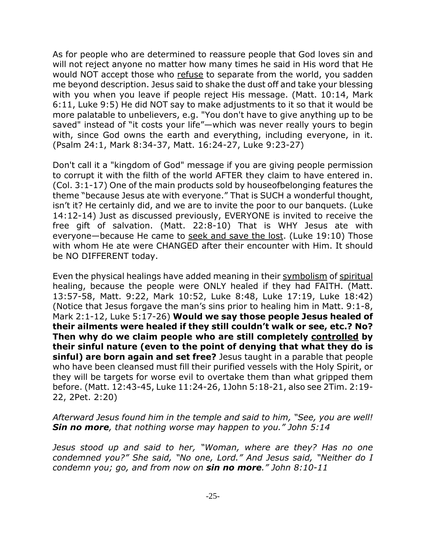As for people who are determined to reassure people that God loves sin and will not reject anyone no matter how many times he said in His word that He would NOT accept those who refuse to separate from the world, you sadden me beyond description. Jesus said to shake the dust off and take your blessing with you when you leave if people reject His message. (Matt. 10:14, Mark 6:11, Luke 9:5) He did NOT say to make adjustments to it so that it would be more palatable to unbelievers, e.g. "You don't have to give anything up to be saved" instead of "it costs your life"—which was never really yours to begin with, since God owns the earth and everything, including everyone, in it. (Psalm 24:1, Mark 8:34-37, Matt. 16:24-27, Luke 9:23-27)

Don't call it a "kingdom of God" message if you are giving people permission to corrupt it with the filth of the world AFTER they claim to have entered in. (Col. 3:1-17) One of the main products sold by houseofbelonging features the theme "because Jesus ate with everyone." That is SUCH a wonderful thought, isn't it? He certainly did, and we are to invite the poor to our banquets. (Luke 14:12-14) Just as discussed previously, EVERYONE is invited to receive the free gift of salvation. (Matt. 22:8-10) That is WHY Jesus ate with everyone—because He came to seek and save the lost. (Luke 19:10) Those with whom He ate were CHANGED after their encounter with Him. It should be NO DIFFERENT today.

Even the physical healings have added meaning in their symbolism of spiritual healing, because the people were ONLY healed if they had FAITH. (Matt. 13:57-58, Matt. 9:22, Mark 10:52, Luke 8:48, Luke 17:19, Luke 18:42) (Notice that Jesus forgave the man's sins prior to healing him in Matt. 9:1-8, Mark 2:1-12, Luke 5:17-26) **Would we say those people Jesus healed of their ailments were healed if they still couldn't walk or see, etc.? No? Then why do we claim people who are still completely controlled by their sinful nature (even to the point of denying that what they do is sinful) are born again and set free?** Jesus taught in a parable that people who have been cleansed must fill their purified vessels with the Holy Spirit, or they will be targets for worse evil to overtake them than what gripped them before. (Matt. 12:43-45, Luke 11:24-26, 1John 5:18-21, also see 2Tim. 2:19- 22, 2Pet. 2:20)

*Afterward Jesus found him in the temple and said to him, "See, you are well! Sin no more, that nothing worse may happen to you." John 5:14*

*Jesus stood up and said to her, "Woman, where are they? Has no one condemned you?" She said, "No one, Lord." And Jesus said, "Neither do I condemn you; go, and from now on sin no more." John 8:10-11*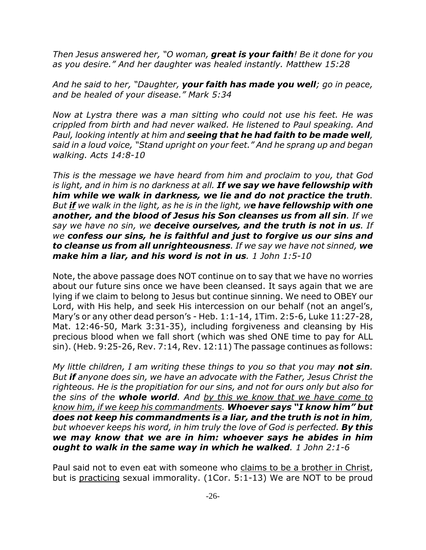*Then Jesus answered her, "O woman, great is your faith! Be it done for you as you desire." And her daughter was healed instantly. Matthew 15:28*

*And he said to her, "Daughter, your faith has made you well; go in peace, and be healed of your disease." Mark 5:34*

*Now at Lystra there was a man sitting who could not use his feet. He was crippled from birth and had never walked. He listened to Paul speaking. And Paul, looking intently at him and seeing that he had faith to be made well, said in a loud voice, "Stand upright on your feet." And he sprang up and began walking. Acts 14:8-10*

*This is the message we have heard from him and proclaim to you, that God is light, and in him is no darkness at all. If we say we have fellowship with him while we walk in darkness, we lie and do not practice the truth. But if we walk in the light, as he is in the light, we have fellowship with one another, and the blood of Jesus his Son cleanses us from all sin. If we say we have no sin, we deceive ourselves, and the truth is not in us. If we confess our sins, he is faithful and just to forgive us our sins and to cleanse us from all unrighteousness. If we say we have not sinned, we make him a liar, and his word is not in us. 1 John 1:5-10*

Note, the above passage does NOT continue on to say that we have no worries about our future sins once we have been cleansed. It says again that we are lying if we claim to belong to Jesus but continue sinning. We need to OBEY our Lord, with His help, and seek His intercession on our behalf (not an angel's, Mary's or any other dead person's - Heb. 1:1-14, 1Tim. 2:5-6, Luke 11:27-28, Mat. 12:46-50, Mark 3:31-35), including forgiveness and cleansing by His precious blood when we fall short (which was shed ONE time to pay for ALL sin). (Heb. 9:25-26, Rev. 7:14, Rev. 12:11) The passage continues as follows:

*My little children, I am writing these things to you so that you may not sin. But if anyone does sin, we have an advocate with the Father, Jesus Christ the righteous. He is the propitiation for our sins, and not for ours only but also for the sins of the whole world. And by this we know that we have come to know him, if we keep his commandments. Whoever says "I know him" but does not keep his commandments is a liar, and the truth is not in him, but whoever keeps his word, in him truly the love of God is perfected. By this we may know that we are in him: whoever says he abides in him ought to walk in the same way in which he walked. 1 John 2:1-6*

Paul said not to even eat with someone who claims to be a brother in Christ, but is practicing sexual immorality. (1Cor. 5:1-13) We are NOT to be proud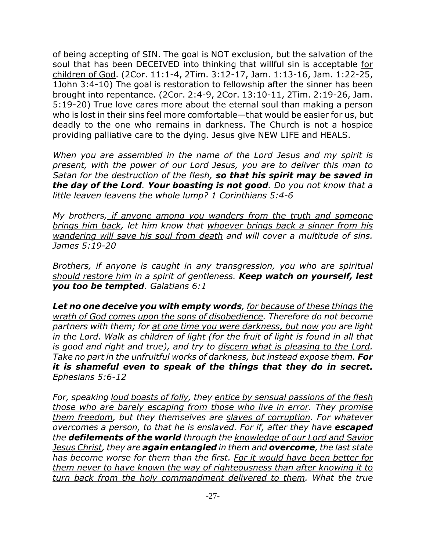of being accepting of SIN. The goal is NOT exclusion, but the salvation of the soul that has been DECEIVED into thinking that willful sin is acceptable for children of God. (2Cor. 11:1-4, 2Tim. 3:12-17, Jam. 1:13-16, Jam. 1:22-25, 1John 3:4-10) The goal is restoration to fellowship after the sinner has been brought into repentance. (2Cor. 2:4-9, 2Cor. 13:10-11, 2Tim. 2:19-26, Jam. 5:19-20) True love cares more about the eternal soul than making a person who is lost in their sins feel more comfortable—that would be easier for us, but deadly to the one who remains in darkness. The Church is not a hospice providing palliative care to the dying. Jesus give NEW LIFE and HEALS.

*When you are assembled in the name of the Lord Jesus and my spirit is present, with the power of our Lord Jesus, you are to deliver this man to Satan for the destruction of the flesh, so that his spirit may be saved in the day of the Lord. Your boasting is not good. Do you not know that a little leaven leavens the whole lump? 1 Corinthians 5:4-6*

*My brothers, if anyone among you wanders from the truth and someone brings him back, let him know that whoever brings back a sinner from his wandering will save his soul from death and will cover a multitude of sins. James 5:19-20*

*Brothers, if anyone is caught in any transgression, you who are spiritual should restore him in a spirit of gentleness. Keep watch on yourself, lest you too be tempted. Galatians 6:1*

*Let no one deceive you with empty words, for because of these things the wrath of God comes upon the sons of disobedience. Therefore do not become partners with them; for at one time you were darkness, but now you are light in the Lord. Walk as children of light (for the fruit of light is found in all that is good and right and true), and try to discern what is pleasing to the Lord. Take no part in the unfruitful works of darkness, but instead expose them. For it is shameful even to speak of the things that they do in secret. Ephesians 5:6-12*

*For, speaking loud boasts of folly, they entice by sensual passions of the flesh those who are barely escaping from those who live in error. They promise them freedom, but they themselves are slaves of corruption. For whatever overcomes a person, to that he is enslaved. For if, after they have escaped the defilements of the world through the knowledge of our Lord and Savior Jesus Christ, they are again entangled in them and overcome, the last state has become worse for them than the first. For it would have been better for them never to have known the way of righteousness than after knowing it to turn back from the holy commandment delivered to them. What the true*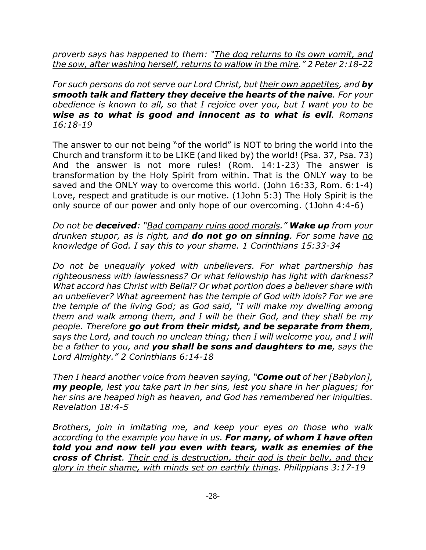*proverb says has happened to them: "The dog returns to its own vomit, and the sow, after washing herself, returns to wallow in the mire." 2 Peter 2:18-22*

*For such persons do not serve our Lord Christ, but their own appetites, and by smooth talk and flattery they deceive the hearts of the naive. For your obedience is known to all, so that I rejoice over you, but I want you to be wise as to what is good and innocent as to what is evil. Romans 16:18-19*

The answer to our not being "of the world" is NOT to bring the world into the Church and transform it to be LIKE (and liked by) the world! (Psa. 37, Psa. 73) And the answer is not more rules! (Rom. 14:1-23) The answer is transformation by the Holy Spirit from within. That is the ONLY way to be saved and the ONLY way to overcome this world. (John 16:33, Rom. 6:1-4) Love, respect and gratitude is our motive. (1John 5:3) The Holy Spirit is the only source of our power and only hope of our overcoming. (1John 4:4-6)

*Do not be deceived: "Bad company ruins good morals." Wake up from your drunken stupor, as is right, and do not go on sinning. For some have no knowledge of God. I say this to your shame. 1 Corinthians 15:33-34*

*Do not be unequally yoked with unbelievers. For what partnership has righteousness with lawlessness? Or what fellowship has light with darkness? What accord has Christ with Belial? Or what portion does a believer share with an unbeliever? What agreement has the temple of God with idols? For we are the temple of the living God; as God said, "I will make my dwelling among them and walk among them, and I will be their God, and they shall be my people. Therefore go out from their midst, and be separate from them, says the Lord, and touch no unclean thing; then I will welcome you, and I will be a father to you, and you shall be sons and daughters to me, says the Lord Almighty." 2 Corinthians 6:14-18*

*Then I heard another voice from heaven saying, "Come out of her [Babylon], my people, lest you take part in her sins, lest you share in her plagues; for her sins are heaped high as heaven, and God has remembered her iniquities. Revelation 18:4-5*

*Brothers, join in imitating me, and keep your eyes on those who walk according to the example you have in us. For many, of whom I have often told you and now tell you even with tears, walk as enemies of the cross of Christ. Their end is destruction, their god is their belly, and they glory in their shame, with minds set on earthly things. Philippians 3:17-19*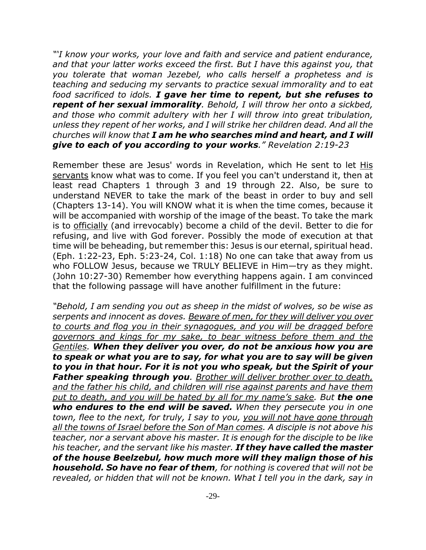*"'I know your works, your love and faith and service and patient endurance, and that your latter works exceed the first. But I have this against you, that you tolerate that woman Jezebel, who calls herself a prophetess and is teaching and seducing my servants to practice sexual immorality and to eat food sacrificed to idols. I gave her time to repent, but she refuses to repent of her sexual immorality. Behold, I will throw her onto a sickbed, and those who commit adultery with her I will throw into great tribulation, unless they repent of her works, and I will strike her children dead. And all the churches will know that I am he who searches mind and heart, and I will give to each of you according to your works." Revelation 2:19-23*

Remember these are Jesus' words in Revelation, which He sent to let His servants know what was to come. If you feel you can't understand it, then at least read Chapters 1 through 3 and 19 through 22. Also, be sure to understand NEVER to take the mark of the beast in order to buy and sell (Chapters 13-14). You will KNOW what it is when the time comes, because it will be accompanied with worship of the image of the beast. To take the mark is to officially (and irrevocably) become a child of the devil. Better to die for refusing, and live with God forever. Possibly the mode of execution at that time will be beheading, but remember this: Jesus is our eternal, spiritual head. (Eph.  $1:22-23$ , Eph.  $5:23-24$ , Col.  $1:18$ ) No one can take that away from us who FOLLOW Jesus, because we TRULY BELIEVE in Him—try as they might. (John 10:27-30) Remember how everything happens again. I am convinced that the following passage will have another fulfillment in the future:

*"Behold, I am sending you out as sheep in the midst of wolves, so be wise as serpents and innocent as doves. Beware of men, for they will deliver you over to courts and flog you in their synagogues, and you will be dragged before governors and kings for my sake, to bear witness before them and the Gentiles. When they deliver you over, do not be anxious how you are to speak or what you are to say, for what you are to say will be given to you in that hour. For it is not you who speak, but the Spirit of your Father speaking through you. Brother will deliver brother over to death, and the father his child, and children will rise against parents and have them put to death, and you will be hated by all for my name's sake. But the one who endures to the end will be saved. When they persecute you in one town, flee to the next, for truly, I say to you, you will not have gone through all the towns of Israel before the Son of Man comes. A disciple is not above his teacher, nor a servant above his master. It is enough for the disciple to be like his teacher, and the servant like his master. If they have called the master of the house Beelzebul, how much more will they malign those of his household. So have no fear of them, for nothing is covered that will not be revealed, or hidden that will not be known. What I tell you in the dark, say in*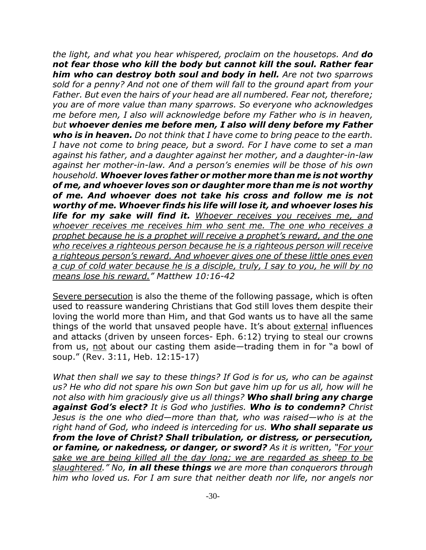*the light, and what you hear whispered, proclaim on the housetops. And do not fear those who kill the body but cannot kill the soul. Rather fear him who can destroy both soul and body in hell. Are not two sparrows sold for a penny? And not one of them will fall to the ground apart from your Father. But even the hairs of your head are all numbered. Fear not, therefore; you are of more value than many sparrows. So everyone who acknowledges me before men, I also will acknowledge before my Father who is in heaven, but whoever denies me before men, I also will deny before my Father who is in heaven. Do not think that I have come to bring peace to the earth. I have not come to bring peace, but a sword. For I have come to set a man against his father, and a daughter against her mother, and a daughter-in-law against her mother-in-law. And a person's enemies will be those of his own household. Whoever loves father or mother more than me is not worthy of me, and whoever loves son or daughter more than me is not worthy of me. And whoever does not take his cross and follow me is not worthy of me. Whoever finds his life will lose it, and whoever loses his life for my sake will find it. Whoever receives you receives me, and whoever receives me receives him who sent me. The one who receives a prophet because he is a prophet will receive a prophet's reward, and the one who receives a righteous person because he is a righteous person will receive a righteous person's reward. And whoever gives one of these little ones even a cup of cold water because he is a disciple, truly, I say to you, he will by no means lose his reward." Matthew 10:16-42*

Severe persecution is also the theme of the following passage, which is often used to reassure wandering Christians that God still loves them despite their loving the world more than Him, and that God wants us to have all the same things of the world that unsaved people have. It's about external influences and attacks (driven by unseen forces- Eph. 6:12) trying to steal our crowns from us, not about our casting them aside—trading them in for "a bowl of soup." (Rev. 3:11, Heb. 12:15-17)

*What then shall we say to these things? If God is for us, who can be against us? He who did not spare his own Son but gave him up for us all, how will he not also with him graciously give us all things? Who shall bring any charge against God's elect? It is God who justifies. Who is to condemn? Christ Jesus is the one who died—more than that, who was raised—who is at the right hand of God, who indeed is interceding for us. Who shall separate us from the love of Christ? Shall tribulation, or distress, or persecution, or famine, or nakedness, or danger, or sword? As it is written, "For your sake we are being killed all the day long; we are regarded as sheep to be slaughtered." No, in all these things we are more than conquerors through him who loved us. For I am sure that neither death nor life, nor angels nor*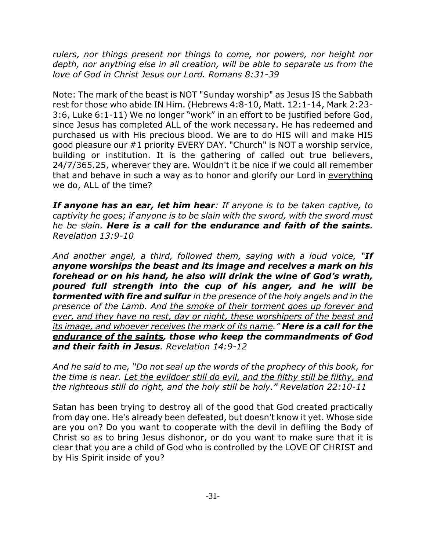*rulers, nor things present nor things to come, nor powers, nor height nor depth, nor anything else in all creation, will be able to separate us from the love of God in Christ Jesus our Lord. Romans 8:31-39*

Note: The mark of the beast is NOT "Sunday worship" as Jesus IS the Sabbath rest for those who abide IN Him. (Hebrews 4:8-10, Matt. 12:1-14, Mark 2:23- 3:6, Luke 6:1-11) We no longer "work" in an effort to be justified before God, since Jesus has completed ALL of the work necessary. He has redeemed and purchased us with His precious blood. We are to do HIS will and make HIS good pleasure our #1 priority EVERY DAY. "Church" is NOT a worship service, building or institution. It is the gathering of called out true believers, 24/7/365.25, wherever they are. Wouldn't it be nice if we could all remember that and behave in such a way as to honor and glorify our Lord in everything we do, ALL of the time?

*If anyone has an ear, let him hear: If anyone is to be taken captive, to captivity he goes; if anyone is to be slain with the sword, with the sword must he be slain. Here is a call for the endurance and faith of the saints. Revelation 13:9-10*

*And another angel, a third, followed them, saying with a loud voice, "If anyone worships the beast and its image and receives a mark on his forehead or on his hand, he also will drink the wine of God's wrath, poured full strength into the cup of his anger, and he will be tormented with fire and sulfur in the presence of the holy angels and in the presence of the Lamb. And the smoke of their torment goes up forever and ever, and they have no rest, day or night, these worshipers of the beast and its image, and whoever receives the mark of its name." Here is a call for the endurance of the saints, those who keep the commandments of God and their faith in Jesus. Revelation 14:9-12*

*And he said to me, "Do not seal up the words of the prophecy of this book, for the time is near. Let the evildoer still do evil, and the filthy still be filthy, and the righteous still do right, and the holy still be holy." Revelation 22:10-11*

Satan has been trying to destroy all of the good that God created practically from day one. He's already been defeated, but doesn't know it yet. Whose side are you on? Do you want to cooperate with the devil in defiling the Body of Christ so as to bring Jesus dishonor, or do you want to make sure that it is clear that you are a child of God who is controlled by the LOVE OF CHRIST and by His Spirit inside of you?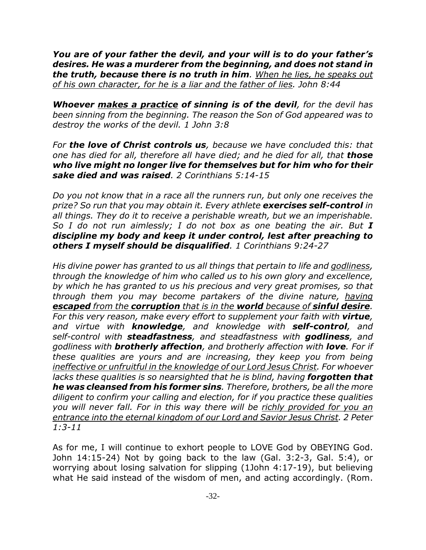*You are of your father the devil, and your will is to do your father's desires. He was a murderer from the beginning, and does not stand in the truth, because there is no truth in him. When he lies, he speaks out of his own character, for he is a liar and the father of lies. John 8:44*

*Whoever makes a practice of sinning is of the devil, for the devil has been sinning from the beginning. The reason the Son of God appeared was to destroy the works of the devil. 1 John 3:8*

*For the love of Christ controls us, because we have concluded this: that one has died for all, therefore all have died; and he died for all, that those who live might no longer live for themselves but for him who for their sake died and was raised. 2 Corinthians 5:14-15*

*Do you not know that in a race all the runners run, but only one receives the prize? So run that you may obtain it. Every athlete exercises self-control in all things. They do it to receive a perishable wreath, but we an imperishable. So I do not run aimlessly; I do not box as one beating the air. But I discipline my body and keep it under control, lest after preaching to others I myself should be disqualified. 1 Corinthians 9:24-27*

*His divine power has granted to us all things that pertain to life and godliness, through the knowledge of him who called us to his own glory and excellence, by which he has granted to us his precious and very great promises, so that through them you may become partakers of the divine nature, having escaped from the corruption that is in the world because of sinful desire. For this very reason, make every effort to supplement your faith with virtue, and virtue with knowledge, and knowledge with self-control, and self-control with steadfastness, and steadfastness with godliness, and godliness with brotherly affection, and brotherly affection with love. For if these qualities are yours and are increasing, they keep you from being ineffective or unfruitful in the knowledge of our Lord Jesus Christ. For whoever lacks these qualities is so nearsighted that he is blind, having forgotten that he was cleansed from his former sins. Therefore, brothers, be all the more diligent to confirm your calling and election, for if you practice these qualities you will never fall. For in this way there will be richly provided for you an entrance into the eternal kingdom of our Lord and Savior Jesus Christ. 2 Peter 1:3-11*

As for me, I will continue to exhort people to LOVE God by OBEYING God. John 14:15-24) Not by going back to the law (Gal. 3:2-3, Gal. 5:4), or worrying about losing salvation for slipping (1John 4:17-19), but believing what He said instead of the wisdom of men, and acting accordingly. (Rom.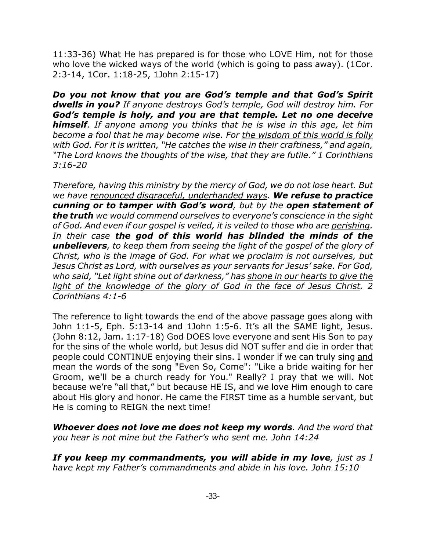11:33-36) What He has prepared is for those who LOVE Him, not for those who love the wicked ways of the world (which is going to pass away). (1Cor. 2:3-14, 1Cor. 1:18-25, 1John 2:15-17)

*Do you not know that you are God's temple and that God's Spirit dwells in you? If anyone destroys God's temple, God will destroy him. For God's temple is holy, and you are that temple. Let no one deceive himself. If anyone among you thinks that he is wise in this age, let him become a fool that he may become wise. For the wisdom of this world is folly with God. For it is written, "He catches the wise in their craftiness," and again, "The Lord knows the thoughts of the wise, that they are futile." 1 Corinthians 3:16-20*

*Therefore, having this ministry by the mercy of God, we do not lose heart. But we have renounced disgraceful, underhanded ways. We refuse to practice cunning or to tamper with God's word, but by the open statement of the truth we would commend ourselves to everyone's conscience in the sight of God. And even if our gospel is veiled, it is veiled to those who are perishing. In their case the god of this world has blinded the minds of the unbelievers, to keep them from seeing the light of the gospel of the glory of Christ, who is the image of God. For what we proclaim is not ourselves, but Jesus Christ as Lord, with ourselves as your servants for Jesus' sake. For God, who said, "Let light shine out of darkness," has shone in our hearts to give the light of the knowledge of the glory of God in the face of Jesus Christ. 2 Corinthians 4:1-6*

The reference to light towards the end of the above passage goes along with John 1:1-5, Eph. 5:13-14 and 1John 1:5-6. It's all the SAME light, Jesus. (John 8:12, Jam. 1:17-18) God DOES love everyone and sent His Son to pay for the sins of the whole world, but Jesus did NOT suffer and die in order that people could CONTINUE enjoying their sins. I wonder if we can truly sing and mean the words of the song "Even So, Come": "Like a bride waiting for her Groom, we'll be a church ready for You." Really? I pray that we will. Not because we're "all that," but because HE IS, and we love Him enough to care about His glory and honor. He came the FIRST time as a humble servant, but He is coming to REIGN the next time!

*Whoever does not love me does not keep my words. And the word that you hear is not mine but the Father's who sent me. John 14:24*

*If you keep my commandments, you will abide in my love, just as I have kept my Father's commandments and abide in his love. John 15:10*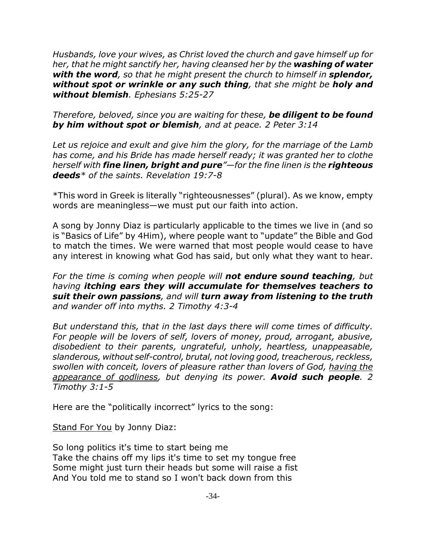*Husbands, love your wives, as Christ loved the church and gave himself up for her, that he might sanctify her, having cleansed her by the washing of water with the word, so that he might present the church to himself in splendor, without spot or wrinkle or any such thing, that she might be holy and without blemish. Ephesians 5:25-27*

*Therefore, beloved, since you are waiting for these, be diligent to be found by him without spot or blemish, and at peace. 2 Peter 3:14*

*Let us rejoice and exult and give him the glory, for the marriage of the Lamb has come, and his Bride has made herself ready; it was granted her to clothe herself with fine linen, bright and pure"—for the fine linen is the righteous deeds\* of the saints. Revelation 19:7-8*

\*This word in Greek is literally "righteousnesses" (plural). As we know, empty words are meaningless—we must put our faith into action.

A song by Jonny Diaz is particularly applicable to the times we live in (and so is "Basics of Life" by 4Him), where people want to "update" the Bible and God to match the times. We were warned that most people would cease to have any interest in knowing what God has said, but only what they want to hear.

*For the time is coming when people will not endure sound teaching, but having itching ears they will accumulate for themselves teachers to suit their own passions, and will turn away from listening to the truth and wander off into myths. 2 Timothy 4:3-4*

*But understand this, that in the last days there will come times of difficulty. For people will be lovers of self, lovers of money, proud, arrogant, abusive, disobedient to their parents, ungrateful, unholy, heartless, unappeasable, slanderous, without self-control, brutal, not loving good, treacherous, reckless, swollen with conceit, lovers of pleasure rather than lovers of God, having the appearance of godliness, but denying its power. Avoid such people. 2 Timothy 3:1-5*

Here are the "politically incorrect" lyrics to the song:

Stand For You by Jonny Diaz:

So long politics it's time to start being me Take the chains off my lips it's time to set my tongue free Some might just turn their heads but some will raise a fist And You told me to stand so I won't back down from this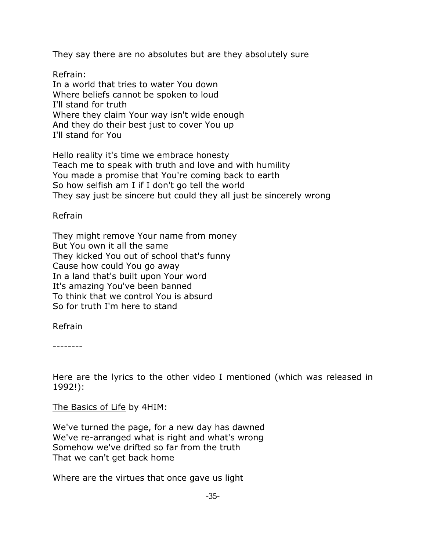They say there are no absolutes but are they absolutely sure

Refrain: In a world that tries to water You down Where beliefs cannot be spoken to loud I'll stand for truth Where they claim Your way isn't wide enough And they do their best just to cover You up I'll stand for You

Hello reality it's time we embrace honesty Teach me to speak with truth and love and with humility You made a promise that You're coming back to earth So how selfish am I if I don't go tell the world They say just be sincere but could they all just be sincerely wrong

## Refrain

They might remove Your name from money But You own it all the same They kicked You out of school that's funny Cause how could You go away In a land that's built upon Your word It's amazing You've been banned To think that we control You is absurd So for truth I'm here to stand

Refrain

--------

Here are the lyrics to the other video I mentioned (which was released in 1992!):

The Basics of Life by 4HIM:

We've turned the page, for a new day has dawned We've re-arranged what is right and what's wrong Somehow we've drifted so far from the truth That we can't get back home

Where are the virtues that once gave us light